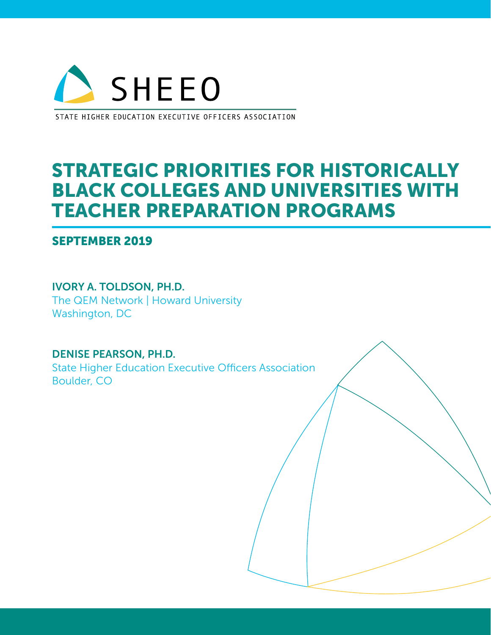

STATE HIGHER EDUCATION EXECUTIVE OFFICERS ASSOCIATION

## STRATEGIC PRIORITIES FOR HISTORICALLY BLACK COLLEGES AND UNIVERSITIES WITH TEACHER PREPARATION PROGRAMS

### SEPTEMBER 2019

IVORY A. TOLDSON, PH.D.

The QEM Network | Howard University Washington, DC

DENISE PEARSON, PH.D. State Higher Education Executive Officers Association Boulder, CO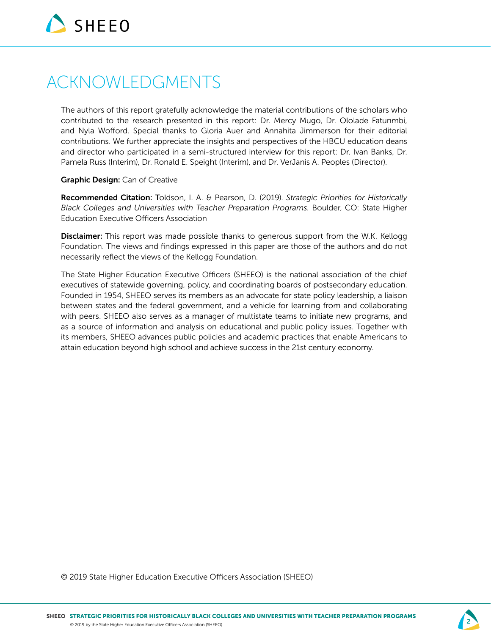## ACKNOWLEDGMENTS

The authors of this report gratefully acknowledge the material contributions of the scholars who contributed to the research presented in this report: Dr. Mercy Mugo, Dr. Ololade Fatunmbi, and Nyla Wofford. Special thanks to Gloria Auer and Annahita Jimmerson for their editorial contributions. We further appreciate the insights and perspectives of the HBCU education deans and director who participated in a semi-structured interview for this report: Dr. Ivan Banks, Dr. Pamela Russ (Interim), Dr. Ronald E. Speight (Interim), and Dr. VerJanis A. Peoples (Director).

#### Graphic Design: [Can of Creative](http://www.canofcreative.com)

Recommended Citation: Toldson, I. A. & Pearson, D. (2019). *Strategic Priorities for Historically Black Colleges and Universities with Teacher Preparation Programs.* Boulder, CO: State Higher Education Executive Officers Association

**Disclaimer:** This report was made possible thanks to generous support from the W.K. Kellogg Foundation. The views and findings expressed in this paper are those of the authors and do not necessarily reflect the views of the Kellogg Foundation.

The State Higher Education Executive Officers (SHEEO) is the national association of the chief executives of statewide governing, policy, and coordinating boards of postsecondary education. Founded in 1954, SHEEO serves its members as an advocate for state policy leadership, a liaison between states and the federal government, and a vehicle for learning from and collaborating with peers. SHEEO also serves as a manager of multistate teams to initiate new programs, and as a source of information and analysis on educational and public policy issues. Together with its members, SHEEO advances public policies and academic practices that enable Americans to attain education beyond high school and achieve success in the 21st century economy.

© 2019 State Higher Education Executive Officers Association (SHEEO)

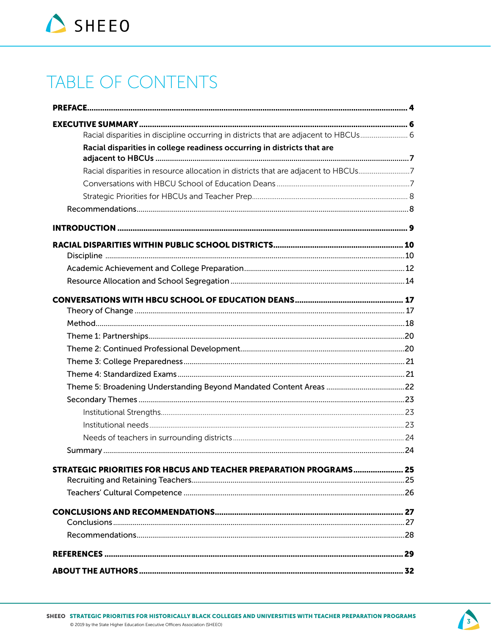# TABLE OF CONTENTS

| Racial disparities in discipline occurring in districts that are adjacent to HBCUs 6 |  |
|--------------------------------------------------------------------------------------|--|
| Racial disparities in college readiness occurring in districts that are              |  |
| Racial disparities in resource allocation in districts that are adjacent to HBCUs7   |  |
|                                                                                      |  |
|                                                                                      |  |
|                                                                                      |  |
|                                                                                      |  |
|                                                                                      |  |
|                                                                                      |  |
|                                                                                      |  |
|                                                                                      |  |
|                                                                                      |  |
|                                                                                      |  |
|                                                                                      |  |
|                                                                                      |  |
|                                                                                      |  |
|                                                                                      |  |
|                                                                                      |  |
|                                                                                      |  |
|                                                                                      |  |
|                                                                                      |  |
|                                                                                      |  |
|                                                                                      |  |
|                                                                                      |  |
| STRATEGIC PRIORITIES FOR HBCUS AND TEACHER PREPARATION PROGRAMS 25                   |  |
|                                                                                      |  |
|                                                                                      |  |
|                                                                                      |  |
|                                                                                      |  |
|                                                                                      |  |
|                                                                                      |  |
|                                                                                      |  |

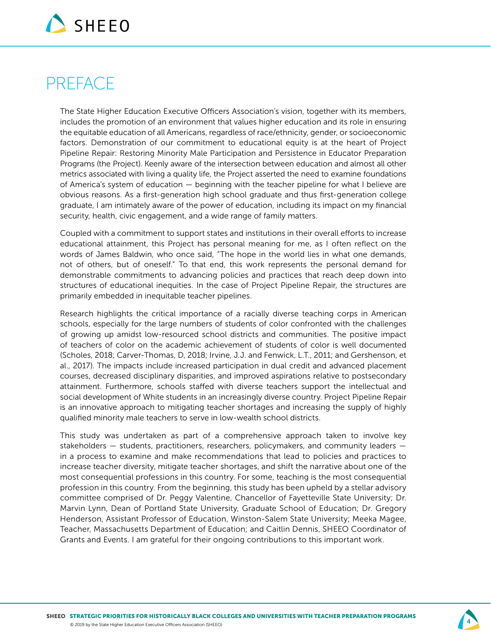<span id="page-3-0"></span>

## PREFACE

The State Higher Education Executive Officers Association's vision, together with its members, includes the promotion of an environment that values higher education and its role in ensuring the equitable education of all Americans, regardless of race/ethnicity, gender, or socioeconomic factors. Demonstration of our commitment to educational equity is at the heart of Project Pipeline Repair: Restoring Minority Male Participation and Persistence in Educator Preparation Programs (the Project). Keenly aware of the intersection between education and almost all other metrics associated with living a quality life, the Project asserted the need to examine foundations of America's system of education — beginning with the teacher pipeline for what I believe are obvious reasons. As a first-generation high school graduate and thus first-generation college graduate, I am intimately aware of the power of education, including its impact on my financial security, health, civic engagement, and a wide range of family matters.

Coupled with a commitment to support states and institutions in their overall efforts to increase educational attainment, this Project has personal meaning for me, as I often reflect on the words of James Baldwin, who once said, "The hope in the world lies in what one demands, not of others, but of oneself." To that end, this work represents the personal demand for demonstrable commitments to advancing policies and practices that reach deep down into structures of educational inequities. In the case of Project Pipeline Repair, the structures are primarily embedded in inequitable teacher pipelines.

Research highlights the critical importance of a racially diverse teaching corps in American schools, especially for the large numbers of students of color confronted with the challenges of growing up amidst low-resourced school districts and communities. The positive impact of teachers of color on the academic achievement of students of color is well documented (Scholes, 2018; Carver-Thomas, D, 2018; Irvine, J.J. and Fenwick, L.T., 2011; and Gershenson, et al., 2017). The impacts include increased participation in dual credit and advanced placement courses, decreased disciplinary disparities, and improved aspirations relative to postsecondary attainment. Furthermore, schools staffed with diverse teachers support the intellectual and social development of White students in an increasingly diverse country. Project Pipeline Repair is an innovative approach to mitigating teacher shortages and increasing the supply of highly qualified minority male teachers to serve in low-wealth school districts.

This study was undertaken as part of a comprehensive approach taken to involve key stakeholders — students, practitioners, researchers, policymakers, and community leaders in a process to examine and make recommendations that lead to policies and practices to increase teacher diversity, mitigate teacher shortages, and shift the narrative about one of the most consequential professions in this country. For some, teaching is the most consequential profession in this country. From the beginning, this study has been upheld by a stellar advisory committee comprised of Dr. Peggy Valentine, Chancellor of Fayetteville State University; Dr. Marvin Lynn, Dean of Portland State University, Graduate School of Education; Dr. Gregory Henderson, Assistant Professor of Education, Winston-Salem State University; Meeka Magee, Teacher, Massachusetts Department of Education; and Caitlin Dennis, SHEEO Coordinator of Grants and Events. I am grateful for their ongoing contributions to this important work.

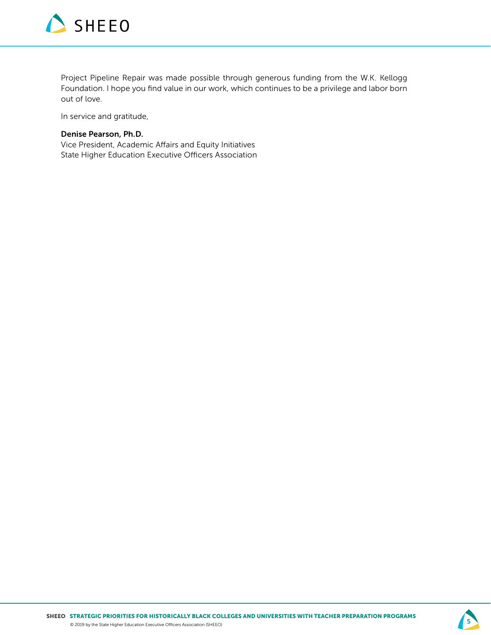

Project Pipeline Repair was made possible through generous funding from the W.K. Kellogg Foundation. I hope you find value in our work, which continues to be a privilege and labor born out of love.

In service and gratitude,

#### Denise Pearson, Ph.D.

Vice President, Academic Affairs and Equity Initiatives State Higher Education Executive Officers Association

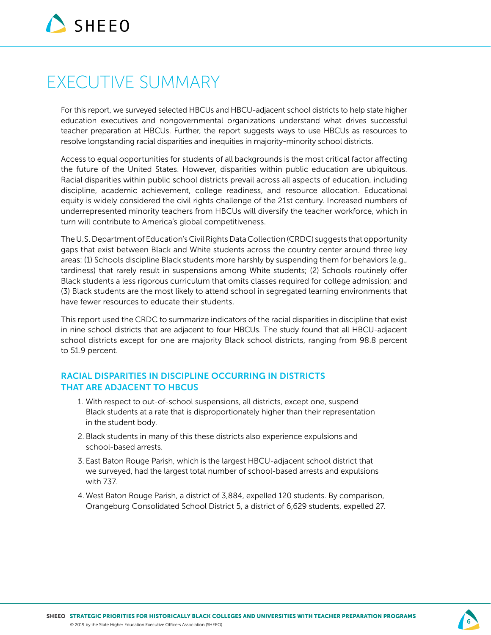## <span id="page-5-0"></span>EXECUTIVE SUMMARY

For this report, we surveyed selected HBCUs and HBCU-adjacent school districts to help state higher education executives and nongovernmental organizations understand what drives successful teacher preparation at HBCUs. Further, the report suggests ways to use HBCUs as resources to resolve longstanding racial disparities and inequities in majority-minority school districts.

Access to equal opportunities for students of all backgrounds is the most critical factor affecting the future of the United States. However, disparities within public education are ubiquitous. Racial disparities within public school districts prevail across all aspects of education, including discipline, academic achievement, college readiness, and resource allocation. Educational equity is widely considered the civil rights challenge of the 21st century. Increased numbers of underrepresented minority teachers from HBCUs will diversify the teacher workforce, which in turn will contribute to America's global competitiveness.

The U.S. Department of Education's Civil Rights Data Collection (CRDC) suggests that opportunity gaps that exist between Black and White students across the country center around three key areas: (1) Schools discipline Black students more harshly by suspending them for behaviors (e.g., tardiness) that rarely result in suspensions among White students; (2) Schools routinely offer Black students a less rigorous curriculum that omits classes required for college admission; and (3) Black students are the most likely to attend school in segregated learning environments that have fewer resources to educate their students.

This report used the CRDC to summarize indicators of the racial disparities in discipline that exist in nine school districts that are adjacent to four HBCUs. The study found that all HBCU-adjacent school districts except for one are majority Black school districts, ranging from 98.8 percent to 51.9 percent.

#### RACIAL DISPARITIES IN DISCIPLINE OCCURRING IN DISTRICTS THAT ARE ADJACENT TO HBCUS

- 1. With respect to out-of-school suspensions, all districts, except one, suspend Black students at a rate that is disproportionately higher than their representation in the student body.
- 2. Black students in many of this these districts also experience expulsions and school-based arrests.
- 3. East Baton Rouge Parish, which is the largest HBCU-adjacent school district that we surveyed, had the largest total number of school-based arrests and expulsions with 737.
- 4. West Baton Rouge Parish, a district of 3,884, expelled 120 students. By comparison, Orangeburg Consolidated School District 5, a district of 6,629 students, expelled 27.

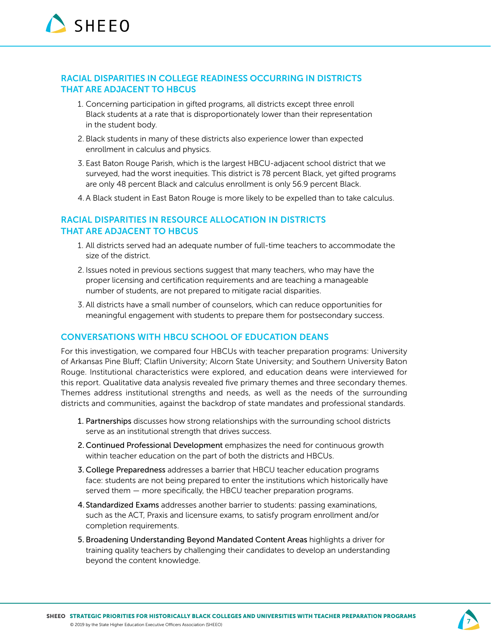#### <span id="page-6-0"></span>RACIAL DISPARITIES IN COLLEGE READINESS OCCURRING IN DISTRICTS THAT ARE ADJACENT TO HBCUS

- 1. Concerning participation in gifted programs, all districts except three enroll Black students at a rate that is disproportionately lower than their representation in the student body.
- 2. Black students in many of these districts also experience lower than expected enrollment in calculus and physics.
- 3. East Baton Rouge Parish, which is the largest HBCU-adjacent school district that we surveyed, had the worst inequities. This district is 78 percent Black, yet gifted programs are only 48 percent Black and calculus enrollment is only 56.9 percent Black.
- 4. A Black student in East Baton Rouge is more likely to be expelled than to take calculus.

#### RACIAL DISPARITIES IN RESOURCE ALLOCATION IN DISTRICTS THAT ARE ADJACENT TO HBCUS

- 1. All districts served had an adequate number of full-time teachers to accommodate the size of the district.
- 2. Issues noted in previous sections suggest that many teachers, who may have the proper licensing and certification requirements and are teaching a manageable number of students, are not prepared to mitigate racial disparities.
- 3. All districts have a small number of counselors, which can reduce opportunities for meaningful engagement with students to prepare them for postsecondary success.

#### CONVERSATIONS WITH HBCU SCHOOL OF EDUCATION DEANS

For this investigation, we compared four HBCUs with teacher preparation programs: University of Arkansas Pine Bluff; Claflin University; Alcorn State University; and Southern University Baton Rouge. Institutional characteristics were explored, and education deans were interviewed for this report. Qualitative data analysis revealed five primary themes and three secondary themes. Themes address institutional strengths and needs, as well as the needs of the surrounding districts and communities, against the backdrop of state mandates and professional standards.

- 1. Partnerships discusses how strong relationships with the surrounding school districts serve as an institutional strength that drives success.
- 2. Continued Professional Development emphasizes the need for continuous growth within teacher education on the part of both the districts and HBCUs.
- 3. College Preparedness addresses a barrier that HBCU teacher education programs face: students are not being prepared to enter the institutions which historically have served them — more specifically, the HBCU teacher preparation programs.
- 4. Standardized Exams addresses another barrier to students: passing examinations, such as the ACT, Praxis and licensure exams, to satisfy program enrollment and/or completion requirements.
- 5. Broadening Understanding Beyond Mandated Content Areas highlights a driver for training quality teachers by challenging their candidates to develop an understanding beyond the content knowledge.

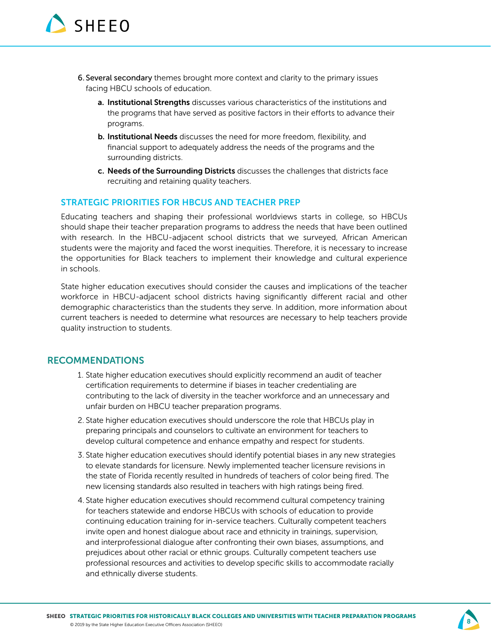- <span id="page-7-0"></span>6. Several secondary themes brought more context and clarity to the primary issues facing HBCU schools of education.
	- a. Institutional Strengths discusses various characteristics of the institutions and the programs that have served as positive factors in their efforts to advance their programs.
	- b. Institutional Needs discusses the need for more freedom, flexibility, and financial support to adequately address the needs of the programs and the surrounding districts.
	- c. Needs of the Surrounding Districts discusses the challenges that districts face recruiting and retaining quality teachers.

#### STRATEGIC PRIORITIES FOR HBCUS AND TEACHER PREP

Educating teachers and shaping their professional worldviews starts in college, so HBCUs should shape their teacher preparation programs to address the needs that have been outlined with research. In the HBCU-adjacent school districts that we surveyed, African American students were the majority and faced the worst inequities. Therefore, it is necessary to increase the opportunities for Black teachers to implement their knowledge and cultural experience in schools.

State higher education executives should consider the causes and implications of the teacher workforce in HBCU-adjacent school districts having significantly different racial and other demographic characteristics than the students they serve. In addition, more information about current teachers is needed to determine what resources are necessary to help teachers provide quality instruction to students.

#### RECOMMENDATIONS

- 1. State higher education executives should explicitly recommend an audit of teacher certification requirements to determine if biases in teacher credentialing are contributing to the lack of diversity in the teacher workforce and an unnecessary and unfair burden on HBCU teacher preparation programs.
- 2. State higher education executives should underscore the role that HBCUs play in preparing principals and counselors to cultivate an environment for teachers to develop cultural competence and enhance empathy and respect for students.
- 3. State higher education executives should identify potential biases in any new strategies to elevate standards for licensure. Newly implemented teacher licensure revisions in the state of Florida recently resulted in hundreds of teachers of color being fired. The new licensing standards also resulted in teachers with high ratings being fired.
- 4. State higher education executives should recommend cultural competency training for teachers statewide and endorse HBCUs with schools of education to provide continuing education training for in-service teachers. Culturally competent teachers invite open and honest dialogue about race and ethnicity in trainings, supervision, and interprofessional dialogue after confronting their own biases, assumptions, and prejudices about other racial or ethnic groups. Culturally competent teachers use professional resources and activities to develop specific skills to accommodate racially and ethnically diverse students.

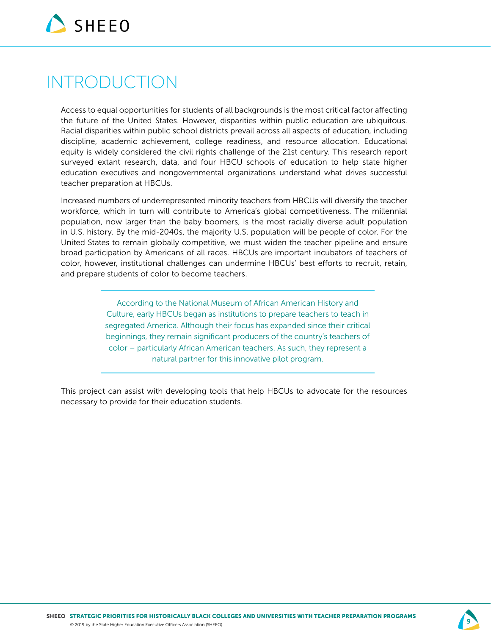## <span id="page-8-0"></span>INTRODUCTION

Access to equal opportunities for students of all backgrounds is the most critical factor affecting the future of the United States. However, disparities within public education are ubiquitous. Racial disparities within public school districts prevail across all aspects of education, including discipline, academic achievement, college readiness, and resource allocation. Educational equity is widely considered the civil rights challenge of the 21st century. This research report surveyed extant research, data, and four HBCU schools of education to help state higher education executives and nongovernmental organizations understand what drives successful teacher preparation at HBCUs.

Increased numbers of underrepresented minority teachers from HBCUs will diversify the teacher workforce, which in turn will contribute to America's global competitiveness. The millennial population, now larger than the baby boomers, is the most racially diverse adult population in U.S. history. By the mid-2040s, the majority U.S. population will be people of color. For the United States to remain globally competitive, we must widen the teacher pipeline and ensure broad participation by Americans of all races. HBCUs are important incubators of teachers of color, however, institutional challenges can undermine HBCUs' best efforts to recruit, retain, and prepare students of color to become teachers.

> According to the National Museum of African American History and Culture, early HBCUs began as institutions to prepare teachers to teach in segregated America. Although their focus has expanded since their critical beginnings, they remain significant producers of the country's teachers of color – particularly African American teachers. As such, they represent a natural partner for this innovative pilot program.

This project can assist with developing tools that help HBCUs to advocate for the resources necessary to provide for their education students.

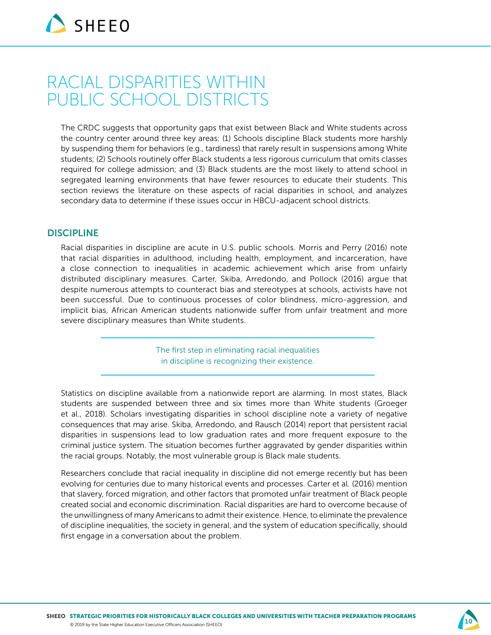### <span id="page-9-0"></span>RACIAL DISPARITIES WITHIN PUBLIC SCHOOL DISTRICTS

The CRDC suggests that opportunity gaps that exist between Black and White students across the country center around three key areas: (1) Schools discipline Black students more harshly by suspending them for behaviors (e.g., tardiness) that rarely result in suspensions among White students; (2) Schools routinely offer Black students a less rigorous curriculum that omits classes required for college admission; and (3) Black students are the most likely to attend school in segregated learning environments that have fewer resources to educate their students. This section reviews the literature on these aspects of racial disparities in school, and analyzes secondary data to determine if these issues occur in HBCU-adjacent school districts.

#### **DISCIPLINE**

Racial disparities in discipline are acute in U.S. public schools. Morris and Perry (2016) note that racial disparities in adulthood, including health, employment, and incarceration, have a close connection to inequalities in academic achievement which arise from unfairly distributed disciplinary measures. Carter, Skiba, Arredondo, and Pollock (2016) argue that despite numerous attempts to counteract bias and stereotypes at schools, activists have not been successful. Due to continuous processes of color blindness, micro-aggression, and implicit bias, African American students nationwide suffer from unfair treatment and more severe disciplinary measures than White students.

> The first step in eliminating racial inequalities in discipline is recognizing their existence.

Statistics on discipline available from a nationwide report are alarming. In most states, Black students are suspended between three and six times more than White students (Groeger et al., 2018). Scholars investigating disparities in school discipline note a variety of negative consequences that may arise. Skiba, Arredondo, and Rausch (2014) report that persistent racial disparities in suspensions lead to low graduation rates and more frequent exposure to the criminal justice system. The situation becomes further aggravated by gender disparities within the racial groups. Notably, the most vulnerable group is Black male students.

Researchers conclude that racial inequality in discipline did not emerge recently but has been evolving for centuries due to many historical events and processes. Carter et al. (2016) mention that slavery, forced migration, and other factors that promoted unfair treatment of Black people created social and economic discrimination. Racial disparities are hard to overcome because of the unwillingness of many Americans to admit their existence. Hence, to eliminate the prevalence of discipline inequalities, the society in general, and the system of education specifically, should first engage in a conversation about the problem.

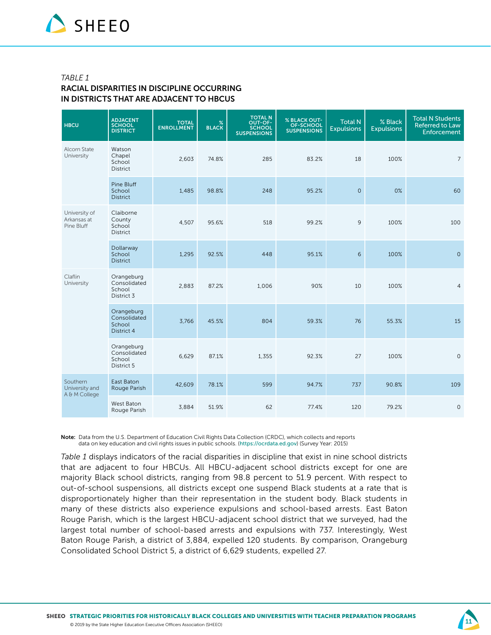#### *TABLE 1* RACIAL DISPARITIES IN DISCIPLINE OCCURRING IN DISTRICTS THAT ARE ADJACENT TO HBCUS

| <b>HBCU</b>                                 | <b>ADJACENT</b><br><b>SCHOOL</b><br><b>DISTRICT</b> | <b>TOTAL</b><br><b>ENROLLMENT</b> | $\overset{\%}{\text{BLACK}}$ | <b>TOTAL N</b><br>OUT-OF-<br><b>SCHOOL</b><br><b>SUSPENSIONS</b> | % BLACK OUT-<br>OF-SCHOOL<br><b>SUSPENSIONS</b> | <b>Total N</b><br><b>Expulsions</b> | % Black<br><b>Expulsions</b> | <b>Total N Students</b><br><b>Referred to Law</b><br>Enforcement |
|---------------------------------------------|-----------------------------------------------------|-----------------------------------|------------------------------|------------------------------------------------------------------|-------------------------------------------------|-------------------------------------|------------------------------|------------------------------------------------------------------|
| Alcorn State<br>University                  | Watson<br>Chapel<br>School<br><b>District</b>       | 2,603                             | 74.8%                        | 285                                                              | 83.2%                                           | 18                                  | 100%                         | $\overline{7}$                                                   |
|                                             | Pine Bluff<br>School<br><b>District</b>             | 1,485                             | 98.8%                        | 248                                                              | 95.2%                                           | $\mathbf 0$                         | 0%                           | 60                                                               |
| University of<br>Arkansas at<br>Pine Bluff  | Claiborne<br>County<br>School<br>District           | 4,507                             | 95.6%                        | 518                                                              | 99.2%                                           | 9                                   | 100%                         | 100                                                              |
|                                             | Dollarway<br>School<br><b>District</b>              | 1,295                             | 92.5%                        | 448                                                              | 95.1%                                           | 6                                   | 100%                         | $\mathbf{0}$                                                     |
| Claflin<br>University                       | Orangeburg<br>Consolidated<br>School<br>District 3  | 2,883                             | 87.2%                        | 1,006                                                            | 90%                                             | 10                                  | 100%                         | $\overline{4}$                                                   |
|                                             | Orangeburg<br>Consolidated<br>School<br>District 4  | 3,766                             | 45.5%                        | 804                                                              | 59.3%                                           | 76                                  | 55.3%                        | 15                                                               |
|                                             | Orangeburg<br>Consolidated<br>School<br>District 5  | 6,629                             | 87.1%                        | 1,355                                                            | 92.3%                                           | 27                                  | 100%                         | $\mathbf{0}$                                                     |
| Southern<br>University and<br>A & M College | East Baton<br>Rouge Parish                          | 42,609                            | 78.1%                        | 599                                                              | 94.7%                                           | 737                                 | 90.8%                        | 109                                                              |
|                                             | West Baton<br>Rouge Parish                          | 3,884                             | 51.9%                        | 62                                                               | 77.4%                                           | 120                                 | 79.2%                        | $\mathbf{0}$                                                     |

Note: Data from the U.S. Department of Education Civil Rights Data Collection (CRDC), which collects and reports data on key education and civil rights issues in public schools. (<https://ocrdata.ed.gov>) (Survey Year: 2015)

*Table 1* displays indicators of the racial disparities in discipline that exist in nine school districts that are adjacent to four HBCUs. All HBCU-adjacent school districts except for one are majority Black school districts, ranging from 98.8 percent to 51.9 percent. With respect to out-of-school suspensions, all districts except one suspend Black students at a rate that is disproportionately higher than their representation in the student body. Black students in many of these districts also experience expulsions and school-based arrests. East Baton Rouge Parish, which is the largest HBCU-adjacent school district that we surveyed, had the largest total number of school-based arrests and expulsions with 737. Interestingly, West Baton Rouge Parish, a district of 3,884, expelled 120 students. By comparison, Orangeburg Consolidated School District 5, a district of 6,629 students, expelled 27.

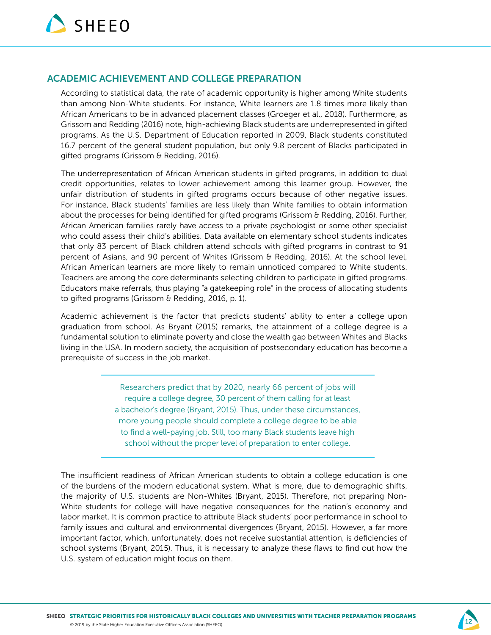<span id="page-11-0"></span>

#### ACADEMIC ACHIEVEMENT AND COLLEGE PREPARATION

According to statistical data, the rate of academic opportunity is higher among White students than among Non-White students. For instance, White learners are 1.8 times more likely than African Americans to be in advanced placement classes (Groeger et al., 2018). Furthermore, as Grissom and Redding (2016) note, high-achieving Black students are underrepresented in gifted programs. As the U.S. Department of Education reported in 2009, Black students constituted 16.7 percent of the general student population, but only 9.8 percent of Blacks participated in gifted programs (Grissom & Redding, 2016).

The underrepresentation of African American students in gifted programs, in addition to dual credit opportunities, relates to lower achievement among this learner group. However, the unfair distribution of students in gifted programs occurs because of other negative issues. For instance, Black students' families are less likely than White families to obtain information about the processes for being identified for gifted programs (Grissom & Redding, 2016). Further, African American families rarely have access to a private psychologist or some other specialist who could assess their child's abilities. Data available on elementary school students indicates that only 83 percent of Black children attend schools with gifted programs in contrast to 91 percent of Asians, and 90 percent of Whites (Grissom & Redding, 2016). At the school level, African American learners are more likely to remain unnoticed compared to White students. Teachers are among the core determinants selecting children to participate in gifted programs. Educators make referrals, thus playing "a gatekeeping role" in the process of allocating students to gifted programs (Grissom & Redding, 2016, p. 1).

Academic achievement is the factor that predicts students' ability to enter a college upon graduation from school. As Bryant (2015) remarks, the attainment of a college degree is a fundamental solution to eliminate poverty and close the wealth gap between Whites and Blacks living in the USA. In modern society, the acquisition of postsecondary education has become a prerequisite of success in the job market.

> Researchers predict that by 2020, nearly 66 percent of jobs will require a college degree, 30 percent of them calling for at least a bachelor's degree (Bryant, 2015). Thus, under these circumstances, more young people should complete a college degree to be able to find a well-paying job. Still, too many Black students leave high school without the proper level of preparation to enter college.

The insufficient readiness of African American students to obtain a college education is one of the burdens of the modern educational system. What is more, due to demographic shifts, the majority of U.S. students are Non-Whites (Bryant, 2015). Therefore, not preparing Non-White students for college will have negative consequences for the nation's economy and labor market. It is common practice to attribute Black students' poor performance in school to family issues and cultural and environmental divergences (Bryant, 2015). However, a far more important factor, which, unfortunately, does not receive substantial attention, is deficiencies of school systems (Bryant, 2015). Thus, it is necessary to analyze these flaws to find out how the U.S. system of education might focus on them.

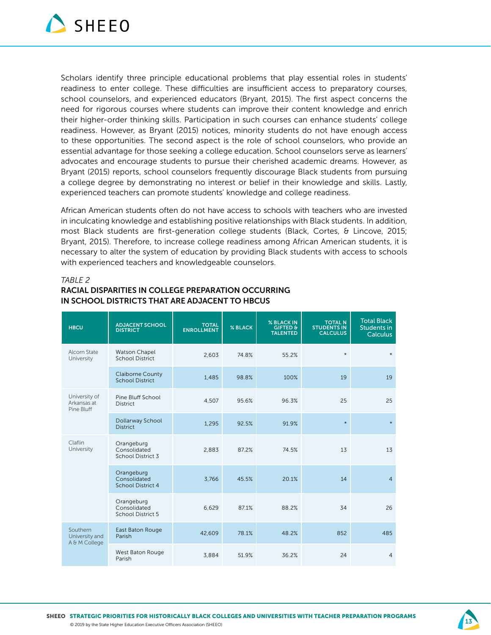

*TABLE 2*

Scholars identify three principle educational problems that play essential roles in students' readiness to enter college. These difficulties are insufficient access to preparatory courses, school counselors, and experienced educators (Bryant, 2015). The first aspect concerns the need for rigorous courses where students can improve their content knowledge and enrich their higher-order thinking skills. Participation in such courses can enhance students' college readiness. However, as Bryant (2015) notices, minority students do not have enough access to these opportunities. The second aspect is the role of school counselors, who provide an essential advantage for those seeking a college education. School counselors serve as learners' advocates and encourage students to pursue their cherished academic dreams. However, as Bryant (2015) reports, school counselors frequently discourage Black students from pursuing a college degree by demonstrating no interest or belief in their knowledge and skills. Lastly, experienced teachers can promote students' knowledge and college readiness.

African American students often do not have access to schools with teachers who are invested in inculcating knowledge and establishing positive relationships with Black students. In addition, most Black students are first-generation college students (Black, Cortes, & Lincove, 2015; Bryant, 2015). Therefore, to increase college readiness among African American students, it is necessary to alter the system of education by providing Black students with access to schools with experienced teachers and knowledgeable counselors.

| <b>HBCU</b>                                 | <b>ADJACENT SCHOOL</b><br><b>DISTRICT</b>              | <b>TOTAL</b><br><b>ENROLLMENT</b> | <b>% BLACK</b> | <b>% BLACK IN</b><br><b>GIFTED &amp;</b><br><b>TALENTED</b> | <b>TOTAL N</b><br><b>STUDENTS IN</b><br><b>CALCULUS</b> | <b>Total Black</b><br>Students in<br><b>Calculus</b> |
|---------------------------------------------|--------------------------------------------------------|-----------------------------------|----------------|-------------------------------------------------------------|---------------------------------------------------------|------------------------------------------------------|
| Alcorn State<br>University                  | <b>Watson Chapel</b><br><b>School District</b>         | 2,603                             | 74.8%          | 55.2%                                                       | $\star$                                                 | $\star$                                              |
|                                             | <b>Claiborne County</b><br><b>School District</b>      | 1,485                             | 98.8%          | 100%                                                        | 19                                                      | 19                                                   |
| University of<br>Arkansas at<br>Pine Bluff  | Pine Bluff School<br><b>District</b>                   | 4,507                             | 95.6%          | 96.3%                                                       | 25                                                      | 25                                                   |
|                                             | Dollarway School<br><b>District</b>                    | 1,295                             | 92.5%          | 91.9%                                                       | $\star$                                                 | $\star$                                              |
| Claflin<br>University                       | Orangeburg<br>Consolidated<br><b>School District 3</b> | 2.883                             | 87.2%          | 74.5%                                                       | 13                                                      | 13                                                   |
|                                             | Orangeburg<br>Consolidated<br><b>School District 4</b> | 3,766                             | 45.5%          | 20.1%                                                       | 14                                                      | $\overline{4}$                                       |
|                                             | Orangeburg<br>Consolidated<br><b>School District 5</b> | 6.629                             | 87.1%          | 88.2%                                                       | 34                                                      | 26                                                   |
| Southern<br>University and<br>A & M College | East Baton Rouge<br>Parish                             | 42,609                            | 78.1%          | 48.2%                                                       | 852                                                     | 485                                                  |
|                                             | West Baton Rouge<br>Parish                             | 3,884                             | 51.9%          | 36.2%                                                       | 24                                                      | $\overline{4}$                                       |

#### RACIAL DISPARITIES IN COLLEGE PREPARATION OCCURRING IN SCHOOL DISTRICTS THAT ARE ADJACENT TO HBCUS

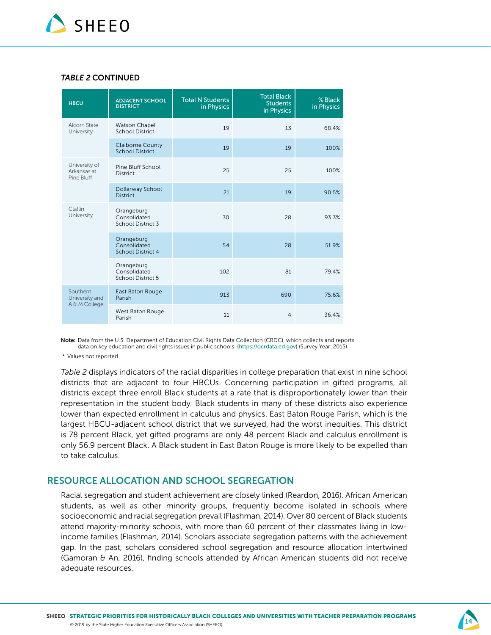<span id="page-13-0"></span>

#### *TABLE 2* CONTINUED

| <b>HBCU</b>                                 | <b>ADJACENT SCHOOL</b><br><b>DISTRICT</b>              | <b>Total N Students</b><br>in Physics | <b>Total Black</b><br><b>Students</b><br>in Physics | % Black<br>in Physics |
|---------------------------------------------|--------------------------------------------------------|---------------------------------------|-----------------------------------------------------|-----------------------|
| Alcorn State<br>University                  | <b>Watson Chapel</b><br><b>School District</b>         | 19                                    | 13                                                  | 68.4%                 |
|                                             | <b>Claiborne County</b><br><b>School District</b>      | 19                                    | 19                                                  | 100%                  |
| University of<br>Arkansas at<br>Pine Bluff  | Pine Bluff School<br><b>District</b>                   | 25                                    | 25                                                  | 100%                  |
|                                             | Dollarway School<br><b>District</b>                    | 21                                    | 19                                                  | 90.5%                 |
| Claflin<br>University                       | Orangeburg<br>Consolidated<br><b>School District 3</b> | 30                                    | 28                                                  | 93.3%                 |
|                                             | Orangeburg<br>Consolidated<br><b>School District 4</b> | 54                                    | 28                                                  | 51.9%                 |
|                                             | Orangeburg<br>Consolidated<br><b>School District 5</b> | 102                                   | 81                                                  | 79.4%                 |
| Southern<br>University and<br>A & M College | East Baton Rouge<br>Parish                             | 913                                   | 690                                                 | 75.6%                 |
|                                             | West Baton Rouge<br>Parish                             | 11                                    | $\overline{4}$                                      | 36.4%                 |

Note: Data from the U.S. Department of Education Civil Rights Data Collection (CRDC), which collects and reports data on key education and civil rights issues in public schools. (<https://ocrdata.ed.gov>) (Survey Year: 2015)

\* Values not reported.

*Table 2* displays indicators of the racial disparities in college preparation that exist in nine school districts that are adjacent to four HBCUs. Concerning participation in gifted programs, all districts except three enroll Black students at a rate that is disproportionately lower than their representation in the student body. Black students in many of these districts also experience lower than expected enrollment in calculus and physics. East Baton Rouge Parish, which is the largest HBCU-adjacent school district that we surveyed, had the worst inequities. This district is 78 percent Black, yet gifted programs are only 48 percent Black and calculus enrollment is only 56.9 percent Black. A Black student in East Baton Rouge is more likely to be expelled than to take calculus.

#### RESOURCE ALLOCATION AND SCHOOL SEGREGATION

Racial segregation and student achievement are closely linked (Reardon, 2016). African American students, as well as other minority groups, frequently become isolated in schools where socioeconomic and racial segregation prevail (Flashman, 2014). Over 80 percent of Black students attend majority-minority schools, with more than 60 percent of their classmates living in lowincome families (Flashman, 2014). Scholars associate segregation patterns with the achievement gap. In the past, scholars considered school segregation and resource allocation intertwined (Gamoran & An, 2016), finding schools attended by African American students did not receive adequate resources.

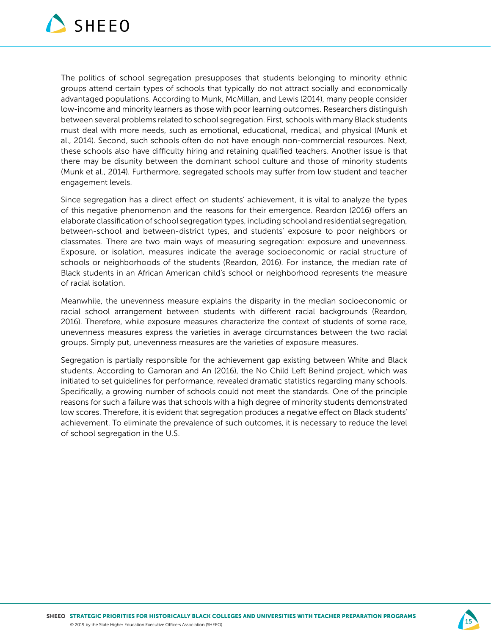

The politics of school segregation presupposes that students belonging to minority ethnic groups attend certain types of schools that typically do not attract socially and economically advantaged populations. According to Munk, McMillan, and Lewis (2014), many people consider low-income and minority learners as those with poor learning outcomes. Researchers distinguish between several problems related to school segregation. First, schools with many Black students must deal with more needs, such as emotional, educational, medical, and physical (Munk et al., 2014). Second, such schools often do not have enough non-commercial resources. Next, these schools also have difficulty hiring and retaining qualified teachers. Another issue is that there may be disunity between the dominant school culture and those of minority students (Munk et al., 2014). Furthermore, segregated schools may suffer from low student and teacher engagement levels.

Since segregation has a direct effect on students' achievement, it is vital to analyze the types of this negative phenomenon and the reasons for their emergence. Reardon (2016) offers an elaborate classification of school segregation types, including school and residential segregation, between-school and between-district types, and students' exposure to poor neighbors or classmates. There are two main ways of measuring segregation: exposure and unevenness. Exposure, or isolation, measures indicate the average socioeconomic or racial structure of schools or neighborhoods of the students (Reardon, 2016). For instance, the median rate of Black students in an African American child's school or neighborhood represents the measure of racial isolation.

Meanwhile, the unevenness measure explains the disparity in the median socioeconomic or racial school arrangement between students with different racial backgrounds (Reardon, 2016). Therefore, while exposure measures characterize the context of students of some race, unevenness measures express the varieties in average circumstances between the two racial groups. Simply put, unevenness measures are the varieties of exposure measures.

Segregation is partially responsible for the achievement gap existing between White and Black students. According to Gamoran and An (2016), the No Child Left Behind project, which was initiated to set guidelines for performance, revealed dramatic statistics regarding many schools. Specifically, a growing number of schools could not meet the standards. One of the principle reasons for such a failure was that schools with a high degree of minority students demonstrated low scores. Therefore, it is evident that segregation produces a negative effect on Black students' achievement. To eliminate the prevalence of such outcomes, it is necessary to reduce the level of school segregation in the U.S.

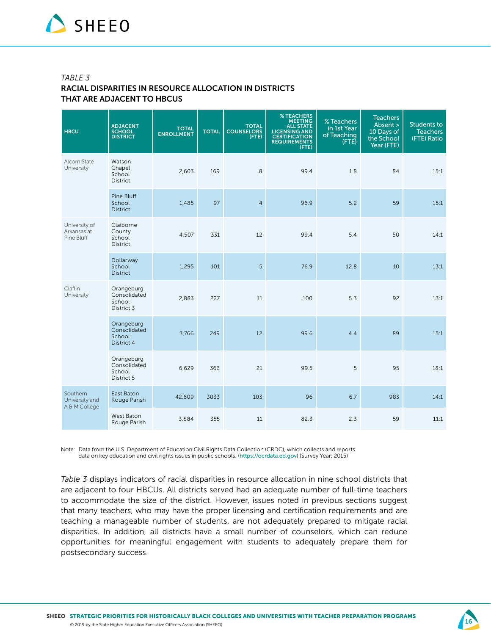#### *TABLE 3* RACIAL DISPARITIES IN RESOURCE ALLOCATION IN DISTRICTS THAT ARE ADJACENT TO HBCUS

| <b>HBCU</b>                                 | <b>ADJACENT</b><br><b>SCHOOL</b><br><b>DISTRICT</b> | <b>TOTAL</b><br><b>ENROLLMENT</b> | <b>TOTAL</b> | <b>TOTAL</b><br><b>COUNSELORS</b><br>$($ FTE $)$ | <b>% TEACHERS</b><br><b>MEETING</b><br><b>ALL STATE</b><br><b>LICENSING AND</b><br><b>CERTIFICATION</b><br><b>REQUIREMENTS</b><br>$($ FTE $)$ | % Teachers<br>in 1st Year<br>of Teaching<br>$($ FTE $)$ | <b>Teachers</b><br>Absent ><br>10 Days of<br>the School<br>Year (FTE) | <b>Students to</b><br><b>Teachers</b><br>(FTE) Ratio |
|---------------------------------------------|-----------------------------------------------------|-----------------------------------|--------------|--------------------------------------------------|-----------------------------------------------------------------------------------------------------------------------------------------------|---------------------------------------------------------|-----------------------------------------------------------------------|------------------------------------------------------|
| Alcorn State<br>University                  | Watson<br>Chapel<br>School<br><b>District</b>       | 2,603                             | 169          | 8                                                | 99.4                                                                                                                                          | 1.8                                                     | 84                                                                    | 15:1                                                 |
|                                             | Pine Bluff<br>School<br><b>District</b>             | 1,485                             | 97           | $\overline{4}$                                   | 96.9                                                                                                                                          | 5.2                                                     | 59                                                                    | 15:1                                                 |
| University of<br>Arkansas at<br>Pine Bluff  | Claiborne<br>County<br>School<br><b>District</b>    | 4,507                             | 331          | 12                                               | 99.4                                                                                                                                          | 5.4                                                     | 50                                                                    | 14:1                                                 |
|                                             | Dollarway<br>School<br><b>District</b>              | 1,295                             | 101          | 5                                                | 76.9                                                                                                                                          | 12.8                                                    | 10                                                                    | 13:1                                                 |
| Claflin<br>University                       | Orangeburg<br>Consolidated<br>School<br>District 3  | 2,883                             | 227          | 11                                               | 100                                                                                                                                           | 5.3                                                     | 92                                                                    | 13:1                                                 |
|                                             | Orangeburg<br>Consolidated<br>School<br>District 4  | 3.766                             | 249          | 12                                               | 99.6                                                                                                                                          | 4.4                                                     | 89                                                                    | 15:1                                                 |
|                                             | Orangeburg<br>Consolidated<br>School<br>District 5  | 6,629                             | 363          | 21                                               | 99.5                                                                                                                                          | 5                                                       | 95                                                                    | 18:1                                                 |
| Southern<br>University and<br>A & M College | East Baton<br>Rouge Parish                          | 42,609                            | 3033         | 103                                              | 96                                                                                                                                            | 6.7                                                     | 983                                                                   | 14:1                                                 |
|                                             | West Baton<br>Rouge Parish                          | 3,884                             | 355          | 11                                               | 82.3                                                                                                                                          | 2.3                                                     | 59                                                                    | 11:1                                                 |

Note: Data from the U.S. Department of Education Civil Rights Data Collection (CRDC), which collects and reports data on key education and civil rights issues in public schools. (<https://ocrdata.ed.gov>) (Survey Year: 2015)

*Table 3* displays indicators of racial disparities in resource allocation in nine school districts that are adjacent to four HBCUs. All districts served had an adequate number of full-time teachers to accommodate the size of the district. However, issues noted in previous sections suggest that many teachers, who may have the proper licensing and certification requirements and are teaching a manageable number of students, are not adequately prepared to mitigate racial disparities. In addition, all districts have a small number of counselors, which can reduce opportunities for meaningful engagement with students to adequately prepare them for postsecondary success.

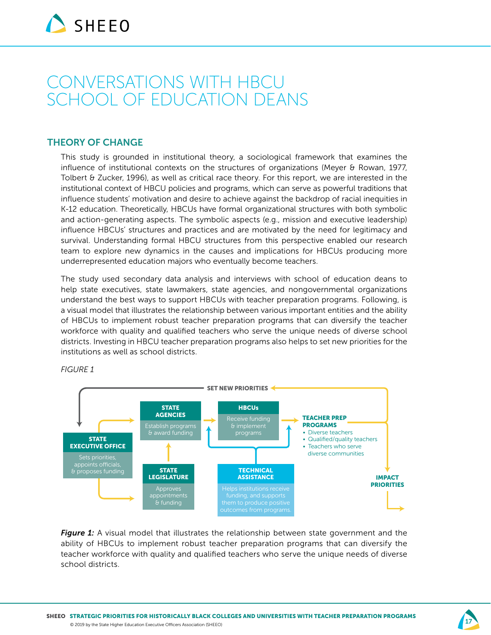### <span id="page-16-0"></span>CONVERSATIONS WITH HBCU SCHOOL OF EDUCATION DEANS

#### THEORY OF CHANGE

This study is grounded in institutional theory, a sociological framework that examines the influence of institutional contexts on the structures of organizations (Meyer & Rowan, 1977, Tolbert & Zucker, 1996), as well as critical race theory. For this report, we are interested in the institutional context of HBCU policies and programs, which can serve as powerful traditions that influence students' motivation and desire to achieve against the backdrop of racial inequities in K-12 education. Theoretically, HBCUs have formal organizational structures with both symbolic and action-generating aspects. The symbolic aspects (e.g., mission and executive leadership) influence HBCUs' structures and practices and are motivated by the need for legitimacy and survival. Understanding formal HBCU structures from this perspective enabled our research team to explore new dynamics in the causes and implications for HBCUs producing more underrepresented education majors who eventually become teachers.

The study used secondary data analysis and interviews with school of education deans to help state executives, state lawmakers, state agencies, and nongovernmental organizations understand the best ways to support HBCUs with teacher preparation programs. Following, is a visual model that illustrates the relationship between various important entities and the ability of HBCUs to implement robust teacher preparation programs that can diversify the teacher workforce with quality and qualified teachers who serve the unique needs of diverse school districts. Investing in HBCU teacher preparation programs also helps to set new priorities for the institutions as well as school districts.



*FIGURE 1*

**Figure 1:** A visual model that illustrates the relationship between state government and the ability of HBCUs to implement robust teacher preparation programs that can diversify the teacher workforce with quality and qualified teachers who serve the unique needs of diverse school districts.

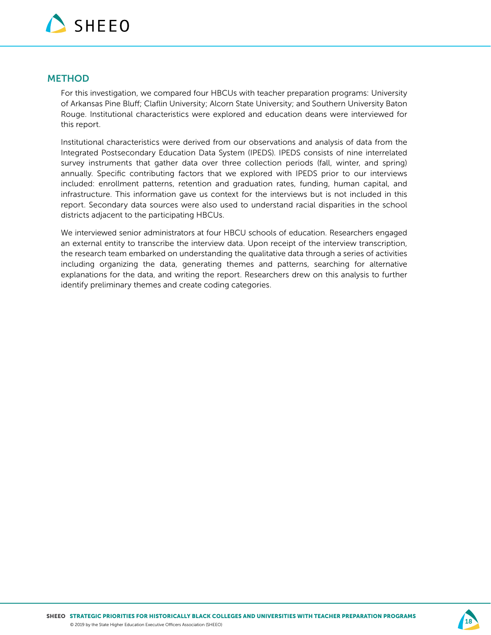<span id="page-17-0"></span>

#### **METHOD**

For this investigation, we compared four HBCUs with teacher preparation programs: University of Arkansas Pine Bluff; Claflin University; Alcorn State University; and Southern University Baton Rouge. Institutional characteristics were explored and education deans were interviewed for this report.

Institutional characteristics were derived from our observations and analysis of data from the Integrated Postsecondary Education Data System (IPEDS). IPEDS consists of nine interrelated survey instruments that gather data over three collection periods (fall, winter, and spring) annually. Specific contributing factors that we explored with IPEDS prior to our interviews included: enrollment patterns, retention and graduation rates, funding, human capital, and infrastructure. This information gave us context for the interviews but is not included in this report. Secondary data sources were also used to understand racial disparities in the school districts adjacent to the participating HBCUs.

We interviewed senior administrators at four HBCU schools of education. Researchers engaged an external entity to transcribe the interview data. Upon receipt of the interview transcription, the research team embarked on understanding the qualitative data through a series of activities including organizing the data, generating themes and patterns, searching for alternative explanations for the data, and writing the report. Researchers drew on this analysis to further identify preliminary themes and create coding categories.

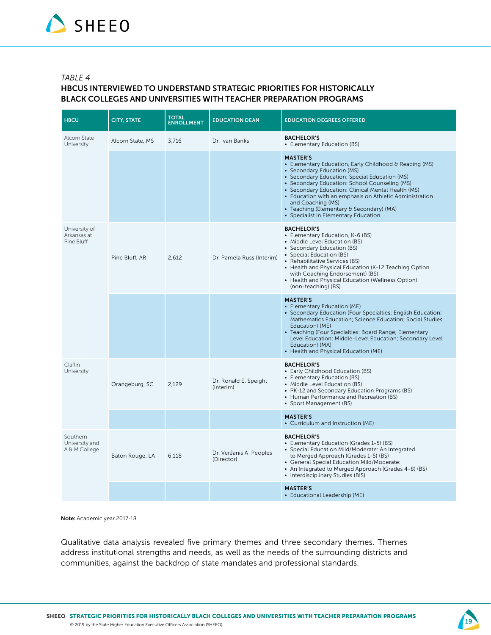#### *TABLE 4*

#### HBCUS INTERVIEWED TO UNDERSTAND STRATEGIC PRIORITIES FOR HISTORICALLY BLACK COLLEGES AND UNIVERSITIES WITH TEACHER PREPARATION PROGRAMS

| <b>HBCU</b>                                 | <b>CITY, STATE</b> | <b>TOTAL</b><br><b>ENROLLMENT</b> | <b>EDUCATION DEAN</b>                 | <b>EDUCATION DEGREES OFFERED</b>                                                                                                                                                                                                                                                                                                                                                                                                    |
|---------------------------------------------|--------------------|-----------------------------------|---------------------------------------|-------------------------------------------------------------------------------------------------------------------------------------------------------------------------------------------------------------------------------------------------------------------------------------------------------------------------------------------------------------------------------------------------------------------------------------|
| Alcorn State<br>University                  | Alcorn State, MS   | 3.716                             | Dr. Ivan Banks                        | <b>BACHELOR'S</b><br>• Elementary Education (BS)                                                                                                                                                                                                                                                                                                                                                                                    |
|                                             |                    |                                   |                                       | <b>MASTER'S</b><br>• Elementary Education, Early Childhood & Reading (MS)<br>• Secondary Education (MS)<br>• Secondary Education: Special Education (MS)<br>• Secondary Education: School Counseling (MS)<br>• Secondary Education: Clinical Mental Health (MS)<br>• Education with an emphasis on Athletic Administration<br>and Coaching (MS)<br>• Teaching (Elementary & Secondary) (MA)<br>• Specialist in Elementary Education |
| University of<br>Arkansas at<br>Pine Bluff  | Pine Bluff, AR     | 2.612                             | Dr. Pamela Russ (Interim)             | <b>BACHELOR'S</b><br>• Elementary Education, K-6 (BS)<br>• Middle Level Education (BS)<br>• Secondary Education (BS)<br>• Special Education (BS)<br>• Rehabilitative Services (BS)<br>• Health and Physical Education (K-12 Teaching Option<br>with Coaching Endorsement) (BS)<br>• Health and Physical Education (Wellness Option)<br>(non-teaching) (BS)                                                                          |
|                                             |                    |                                   |                                       | <b>MASTER'S</b><br>• Elementary Education (ME)<br>• Secondary Education (Four Specialties: English Education;<br>Mathematics Education; Science Education; Social Studies<br>Education) (ME)<br>• Teaching (Four Specialties: Board Range; Elementary<br>Level Education; Middle-Level Education; Secondary Level<br>Education) (MA)<br>• Health and Physical Education (ME)                                                        |
| Claflin<br>University                       | Orangeburg, SC     | 2.129                             | Dr. Ronald E. Speight<br>(Interim)    | <b>BACHELOR'S</b><br>• Early Childhood Education (BS)<br>• Elementary Education (BS)<br>• Middle Level Education (BS)<br>• PK-12 and Secondary Education Programs (BS)<br>• Human Performance and Recreation (BS)<br>• Sport Management (BS)                                                                                                                                                                                        |
|                                             |                    |                                   |                                       | <b>MASTER'S</b><br>• Curriculum and Instruction (ME)                                                                                                                                                                                                                                                                                                                                                                                |
| Southern<br>University and<br>A & M College | Baton Rouge, LA    | 6.118                             | Dr. VerJanis A. Peoples<br>(Director) | <b>BACHELOR'S</b><br>• Elementary Education (Grades 1-5) (BS)<br>• Special Education Mild/Moderate: An Integrated<br>to Merged Approach (Grades 1-5) (BS)<br>• General Special Education Mild/Moderate:<br>• An Integrated to Merged Approach (Grades 4-8) (BS)<br>• Interdisciplinary Studies (BIS)                                                                                                                                |
|                                             |                    |                                   |                                       | <b>MASTER'S</b><br>• Educational Leadership (ME)                                                                                                                                                                                                                                                                                                                                                                                    |

Note: Academic year 2017-18

Qualitative data analysis revealed five primary themes and three secondary themes. Themes address institutional strengths and needs, as well as the needs of the surrounding districts and communities, against the backdrop of state mandates and professional standards.

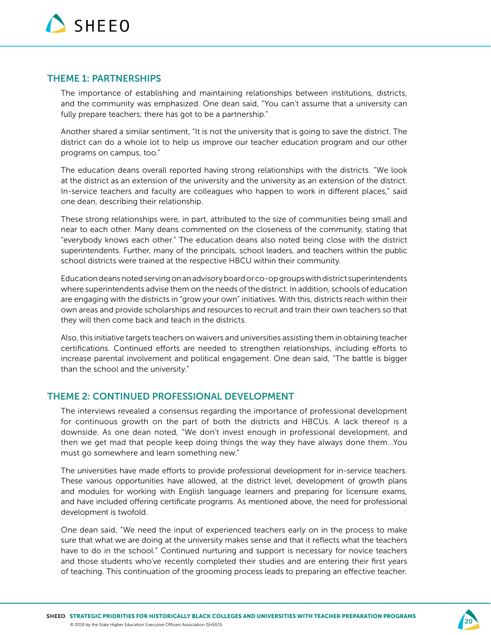<span id="page-19-0"></span>

#### THEME 1: PARTNERSHIPS

The importance of establishing and maintaining relationships between institutions, districts, and the community was emphasized. One dean said, "You can't assume that a university can fully prepare teachers; there has got to be a partnership."

Another shared a similar sentiment, "It is not the university that is going to save the district. The district can do a whole lot to help us improve our teacher education program and our other programs on campus, too."

The education deans overall reported having strong relationships with the districts. "We look at the district as an extension of the university and the university as an extension of the district. In-service teachers and faculty are colleagues who happen to work in different places," said one dean, describing their relationship.

These strong relationships were, in part, attributed to the size of communities being small and near to each other. Many deans commented on the closeness of the community, stating that "everybody knows each other." The education deans also noted being close with the district superintendents. Further, many of the principals, school leaders, and teachers within the public school districts were trained at the respective HBCU within their community.

Education deans noted serving on an advisory board or co-op groups with district superintendents where superintendents advise them on the needs of the district. In addition, schools of education are engaging with the districts in "grow your own" initiatives. With this, districts reach within their own areas and provide scholarships and resources to recruit and train their own teachers so that they will then come back and teach in the districts.

Also, this initiative targets teachers on waivers and universities assisting them in obtaining teacher certifications. Continued efforts are needed to strengthen relationships, including efforts to increase parental involvement and political engagement. One dean said, "The battle is bigger than the school and the university."

#### THEME 2: CONTINUED PROFESSIONAL DEVELOPMENT

The interviews revealed a consensus regarding the importance of professional development for continuous growth on the part of both the districts and HBCUs. A lack thereof is a downside. As one dean noted, "We don't invest enough in professional development, and then we get mad that people keep doing things the way they have always done them...You must go somewhere and learn something new."

The universities have made efforts to provide professional development for in-service teachers. These various opportunities have allowed, at the district level, development of growth plans and modules for working with English language learners and preparing for licensure exams, and have included offering certificate programs. As mentioned above, the need for professional development is twofold.

One dean said, "We need the input of experienced teachers early on in the process to make sure that what we are doing at the university makes sense and that it reflects what the teachers have to do in the school." Continued nurturing and support is necessary for novice teachers and those students who've recently completed their studies and are entering their first years of teaching. This continuation of the grooming process leads to preparing an effective teacher.

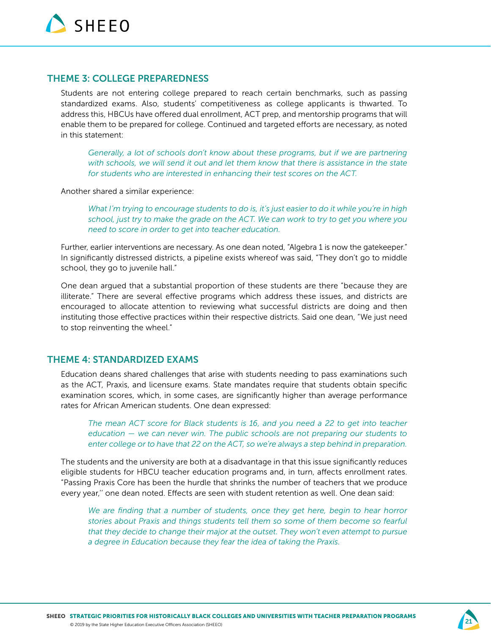<span id="page-20-0"></span>

#### THEME 3: COLLEGE PREPAREDNESS

Students are not entering college prepared to reach certain benchmarks, such as passing standardized exams. Also, students' competitiveness as college applicants is thwarted. To address this, HBCUs have offered dual enrollment, ACT prep, and mentorship programs that will enable them to be prepared for college. Continued and targeted efforts are necessary, as noted in this statement:

*Generally, a lot of schools don't know about these programs, but if we are partnering with schools, we will send it out and let them know that there is assistance in the state for students who are interested in enhancing their test scores on the ACT.*

Another shared a similar experience:

*What I'm trying to encourage students to do is, it's just easier to do it while you're in high school, just try to make the grade on the ACT. We can work to try to get you where you need to score in order to get into teacher education.*

Further, earlier interventions are necessary. As one dean noted, "Algebra 1 is now the gatekeeper." In significantly distressed districts, a pipeline exists whereof was said, "They don't go to middle school, they go to juvenile hall."

One dean argued that a substantial proportion of these students are there "because they are illiterate." There are several effective programs which address these issues, and districts are encouraged to allocate attention to reviewing what successful districts are doing and then instituting those effective practices within their respective districts. Said one dean, "We just need to stop reinventing the wheel."

#### THEME 4: STANDARDIZED EXAMS

Education deans shared challenges that arise with students needing to pass examinations such as the ACT, Praxis, and licensure exams. State mandates require that students obtain specific examination scores, which, in some cases, are significantly higher than average performance rates for African American students. One dean expressed:

*The mean ACT score for Black students is 16, and you need a 22 to get into teacher education — we can never win. The public schools are not preparing our students to enter college or to have that 22 on the ACT, so we're always a step behind in preparation.*

The students and the university are both at a disadvantage in that this issue significantly reduces eligible students for HBCU teacher education programs and, in turn, affects enrollment rates. "Passing Praxis Core has been the hurdle that shrinks the number of teachers that we produce every year,'' one dean noted. Effects are seen with student retention as well. One dean said:

*We are finding that a number of students, once they get here, begin to hear horror stories about Praxis and things students tell them so some of them become so fearful that they decide to change their major at the outset. They won't even attempt to pursue a degree in Education because they fear the idea of taking the Praxis.*

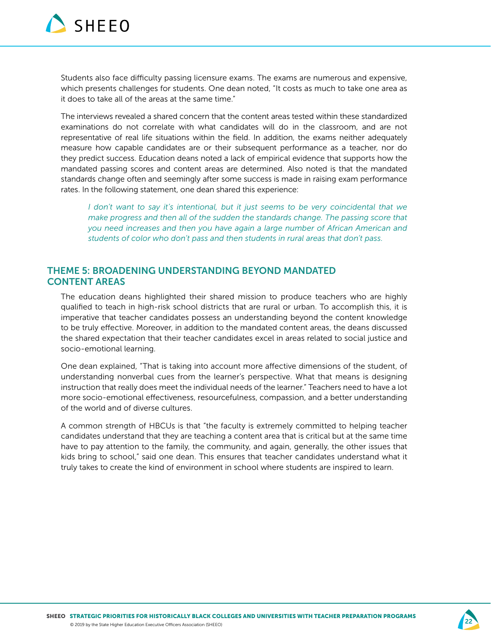<span id="page-21-0"></span>Students also face difficulty passing licensure exams. The exams are numerous and expensive, which presents challenges for students. One dean noted, "It costs as much to take one area as it does to take all of the areas at the same time."

The interviews revealed a shared concern that the content areas tested within these standardized examinations do not correlate with what candidates will do in the classroom, and are not representative of real life situations within the field. In addition, the exams neither adequately measure how capable candidates are or their subsequent performance as a teacher, nor do they predict success. Education deans noted a lack of empirical evidence that supports how the mandated passing scores and content areas are determined. Also noted is that the mandated standards change often and seemingly after some success is made in raising exam performance rates. In the following statement, one dean shared this experience:

*I don't want to say it's intentional, but it just seems to be very coincidental that we make progress and then all of the sudden the standards change. The passing score that you need increases and then you have again a large number of African American and students of color who don't pass and then students in rural areas that don't pass.*

#### THEME 5: BROADENING UNDERSTANDING BEYOND MANDATED CONTENT AREAS

The education deans highlighted their shared mission to produce teachers who are highly qualified to teach in high-risk school districts that are rural or urban. To accomplish this, it is imperative that teacher candidates possess an understanding beyond the content knowledge to be truly effective. Moreover, in addition to the mandated content areas, the deans discussed the shared expectation that their teacher candidates excel in areas related to social justice and socio-emotional learning.

One dean explained, "That is taking into account more affective dimensions of the student, of understanding nonverbal cues from the learner's perspective. What that means is designing instruction that really does meet the individual needs of the learner." Teachers need to have a lot more socio-emotional effectiveness, resourcefulness, compassion, and a better understanding of the world and of diverse cultures.

A common strength of HBCUs is that "the faculty is extremely committed to helping teacher candidates understand that they are teaching a content area that is critical but at the same time have to pay attention to the family, the community, and again, generally, the other issues that kids bring to school," said one dean. This ensures that teacher candidates understand what it truly takes to create the kind of environment in school where students are inspired to learn.

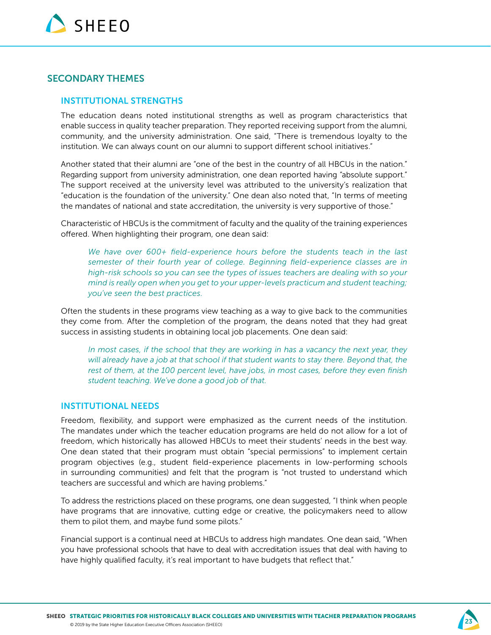<span id="page-22-0"></span>

#### SECONDARY THEMES

#### INSTITUTIONAL STRENGTHS

The education deans noted institutional strengths as well as program characteristics that enable success in quality teacher preparation. They reported receiving support from the alumni, community, and the university administration. One said, "There is tremendous loyalty to the institution. We can always count on our alumni to support different school initiatives."

Another stated that their alumni are "one of the best in the country of all HBCUs in the nation." Regarding support from university administration, one dean reported having "absolute support." The support received at the university level was attributed to the university's realization that "education is the foundation of the university." One dean also noted that, "In terms of meeting the mandates of national and state accreditation, the university is very supportive of those."

Characteristic of HBCUs is the commitment of faculty and the quality of the training experiences offered. When highlighting their program, one dean said:

*We have over 600+ field-experience hours before the students teach in the last semester of their fourth year of college. Beginning field-experience classes are in high-risk schools so you can see the types of issues teachers are dealing with so your mind is really open when you get to your upper-levels practicum and student teaching; you've seen the best practices.*

Often the students in these programs view teaching as a way to give back to the communities they come from. After the completion of the program, the deans noted that they had great success in assisting students in obtaining local job placements. One dean said:

In most cases, if the school that they are working in has a vacancy the next year, they *will already have a job at that school if that student wants to stay there. Beyond that, the rest of them, at the 100 percent level, have jobs, in most cases, before they even finish student teaching. We've done a good job of that.*

#### INSTITUTIONAL NEEDS

Freedom, flexibility, and support were emphasized as the current needs of the institution. The mandates under which the teacher education programs are held do not allow for a lot of freedom, which historically has allowed HBCUs to meet their students' needs in the best way. One dean stated that their program must obtain "special permissions" to implement certain program objectives (e.g., student field-experience placements in low-performing schools in surrounding communities) and felt that the program is "not trusted to understand which teachers are successful and which are having problems."

To address the restrictions placed on these programs, one dean suggested, "I think when people have programs that are innovative, cutting edge or creative, the policymakers need to allow them to pilot them, and maybe fund some pilots."

Financial support is a continual need at HBCUs to address high mandates. One dean said, "When you have professional schools that have to deal with accreditation issues that deal with having to have highly qualified faculty, it's real important to have budgets that reflect that."

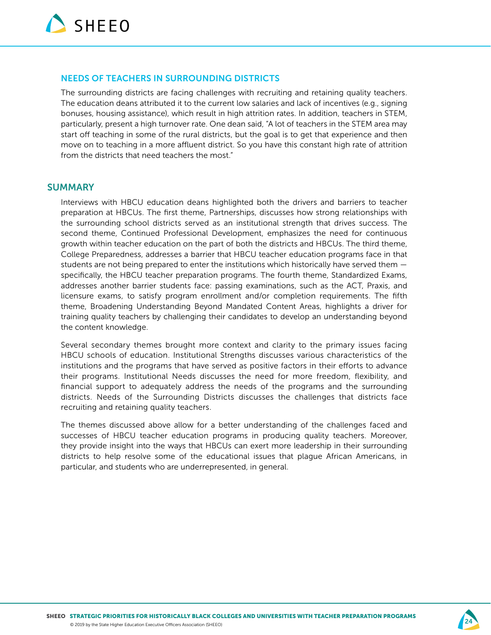#### <span id="page-23-0"></span>NEEDS OF TEACHERS IN SURROUNDING DISTRICTS

The surrounding districts are facing challenges with recruiting and retaining quality teachers. The education deans attributed it to the current low salaries and lack of incentives (e.g., signing bonuses, housing assistance), which result in high attrition rates. In addition, teachers in STEM, particularly, present a high turnover rate. One dean said, "A lot of teachers in the STEM area may start off teaching in some of the rural districts, but the goal is to get that experience and then move on to teaching in a more affluent district. So you have this constant high rate of attrition from the districts that need teachers the most."

#### **SUMMARY**

Interviews with HBCU education deans highlighted both the drivers and barriers to teacher preparation at HBCUs. The first theme, Partnerships, discusses how strong relationships with the surrounding school districts served as an institutional strength that drives success. The second theme, Continued Professional Development, emphasizes the need for continuous growth within teacher education on the part of both the districts and HBCUs. The third theme, College Preparedness, addresses a barrier that HBCU teacher education programs face in that students are not being prepared to enter the institutions which historically have served them specifically, the HBCU teacher preparation programs. The fourth theme, Standardized Exams, addresses another barrier students face: passing examinations, such as the ACT, Praxis, and licensure exams, to satisfy program enrollment and/or completion requirements. The fifth theme, Broadening Understanding Beyond Mandated Content Areas, highlights a driver for training quality teachers by challenging their candidates to develop an understanding beyond the content knowledge.

Several secondary themes brought more context and clarity to the primary issues facing HBCU schools of education. Institutional Strengths discusses various characteristics of the institutions and the programs that have served as positive factors in their efforts to advance their programs. Institutional Needs discusses the need for more freedom, flexibility, and financial support to adequately address the needs of the programs and the surrounding districts. Needs of the Surrounding Districts discusses the challenges that districts face recruiting and retaining quality teachers.

The themes discussed above allow for a better understanding of the challenges faced and successes of HBCU teacher education programs in producing quality teachers. Moreover, they provide insight into the ways that HBCUs can exert more leadership in their surrounding districts to help resolve some of the educational issues that plague African Americans, in particular, and students who are underrepresented, in general.

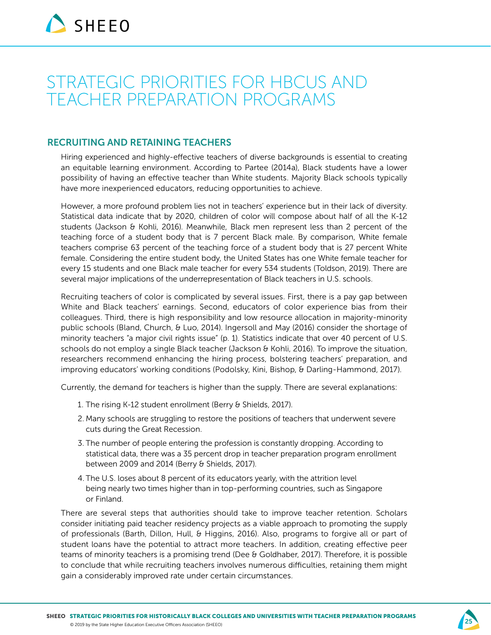### <span id="page-24-0"></span>STRATEGIC PRIORITIES FOR HBCUS AND TEACHER PREPARATION PROGRAMS

#### RECRUITING AND RETAINING TEACHERS

Hiring experienced and highly-effective teachers of diverse backgrounds is essential to creating an equitable learning environment. According to Partee (2014a), Black students have a lower possibility of having an effective teacher than White students. Majority Black schools typically have more inexperienced educators, reducing opportunities to achieve.

However, a more profound problem lies not in teachers' experience but in their lack of diversity. Statistical data indicate that by 2020, children of color will compose about half of all the K-12 students (Jackson & Kohli, 2016). Meanwhile, Black men represent less than 2 percent of the teaching force of a student body that is 7 percent Black male. By comparison, White female teachers comprise 63 percent of the teaching force of a student body that is 27 percent White female. Considering the entire student body, the United States has one White female teacher for every 15 students and one Black male teacher for every 534 students (Toldson, 2019). There are several major implications of the underrepresentation of Black teachers in U.S. schools.

Recruiting teachers of color is complicated by several issues. First, there is a pay gap between White and Black teachers' earnings. Second, educators of color experience bias from their colleagues. Third, there is high responsibility and low resource allocation in majority-minority public schools (Bland, Church, & Luo, 2014). Ingersoll and May (2016) consider the shortage of minority teachers "a major civil rights issue" (p. 1). Statistics indicate that over 40 percent of U.S. schools do not employ a single Black teacher (Jackson & Kohli, 2016). To improve the situation, researchers recommend enhancing the hiring process, bolstering teachers' preparation, and improving educators' working conditions (Podolsky, Kini, Bishop, & Darling-Hammond, 2017).

Currently, the demand for teachers is higher than the supply. There are several explanations:

- 1. The rising K-12 student enrollment (Berry & Shields, 2017).
- 2. Many schools are struggling to restore the positions of teachers that underwent severe cuts during the Great Recession.
- 3. The number of people entering the profession is constantly dropping. According to statistical data, there was a 35 percent drop in teacher preparation program enrollment between 2009 and 2014 (Berry & Shields, 2017).
- 4. The U.S. loses about 8 percent of its educators yearly, with the attrition level being nearly two times higher than in top-performing countries, such as Singapore or Finland.

There are several steps that authorities should take to improve teacher retention. Scholars consider initiating paid teacher residency projects as a viable approach to promoting the supply of professionals (Barth, Dillon, Hull, & Higgins, 2016). Also, programs to forgive all or part of student loans have the potential to attract more teachers. In addition, creating effective peer teams of minority teachers is a promising trend (Dee & Goldhaber, 2017). Therefore, it is possible to conclude that while recruiting teachers involves numerous difficulties, retaining them might gain a considerably improved rate under certain circumstances.

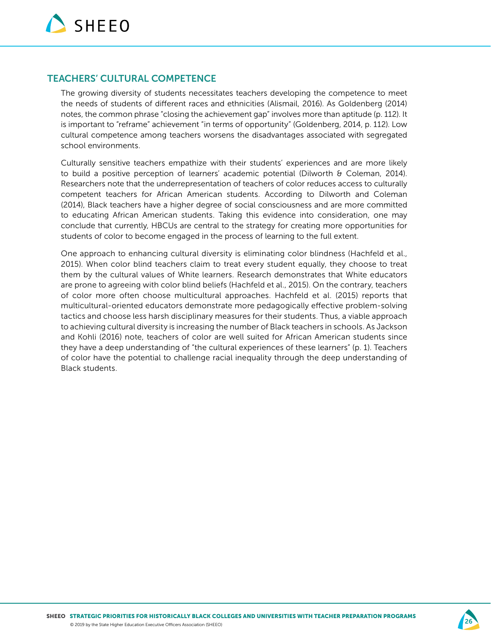#### <span id="page-25-0"></span>TEACHERS' CULTURAL COMPETENCE

The growing diversity of students necessitates teachers developing the competence to meet the needs of students of different races and ethnicities (Alismail, 2016). As Goldenberg (2014) notes, the common phrase "closing the achievement gap" involves more than aptitude (p. 112). It is important to "reframe" achievement "in terms of opportunity" (Goldenberg, 2014, p. 112). Low cultural competence among teachers worsens the disadvantages associated with segregated school environments.

Culturally sensitive teachers empathize with their students' experiences and are more likely to build a positive perception of learners' academic potential (Dilworth & Coleman, 2014). Researchers note that the underrepresentation of teachers of color reduces access to culturally competent teachers for African American students. According to Dilworth and Coleman (2014), Black teachers have a higher degree of social consciousness and are more committed to educating African American students. Taking this evidence into consideration, one may conclude that currently, HBCUs are central to the strategy for creating more opportunities for students of color to become engaged in the process of learning to the full extent.

One approach to enhancing cultural diversity is eliminating color blindness (Hachfeld et al., 2015). When color blind teachers claim to treat every student equally, they choose to treat them by the cultural values of White learners. Research demonstrates that White educators are prone to agreeing with color blind beliefs (Hachfeld et al., 2015). On the contrary, teachers of color more often choose multicultural approaches. Hachfeld et al. (2015) reports that multicultural-oriented educators demonstrate more pedagogically effective problem-solving tactics and choose less harsh disciplinary measures for their students. Thus, a viable approach to achieving cultural diversity is increasing the number of Black teachers in schools. As Jackson and Kohli (2016) note, teachers of color are well suited for African American students since they have a deep understanding of "the cultural experiences of these learners" (p. 1). Teachers of color have the potential to challenge racial inequality through the deep understanding of Black students.

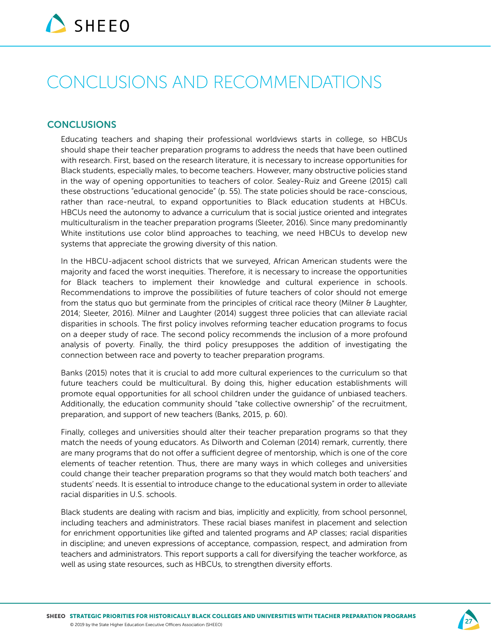# <span id="page-26-0"></span>CONCLUSIONS AND RECOMMENDATIONS

#### **CONCLUSIONS**

Educating teachers and shaping their professional worldviews starts in college, so HBCUs should shape their teacher preparation programs to address the needs that have been outlined with research. First, based on the research literature, it is necessary to increase opportunities for Black students, especially males, to become teachers. However, many obstructive policies stand in the way of opening opportunities to teachers of color. Sealey-Ruiz and Greene (2015) call these obstructions "educational genocide" (p. 55). The state policies should be race-conscious, rather than race-neutral, to expand opportunities to Black education students at HBCUs. HBCUs need the autonomy to advance a curriculum that is social justice oriented and integrates multiculturalism in the teacher preparation programs (Sleeter, 2016). Since many predominantly White institutions use color blind approaches to teaching, we need HBCUs to develop new systems that appreciate the growing diversity of this nation.

In the HBCU-adjacent school districts that we surveyed, African American students were the majority and faced the worst inequities. Therefore, it is necessary to increase the opportunities for Black teachers to implement their knowledge and cultural experience in schools. Recommendations to improve the possibilities of future teachers of color should not emerge from the status quo but germinate from the principles of critical race theory (Milner & Laughter, 2014; Sleeter, 2016). Milner and Laughter (2014) suggest three policies that can alleviate racial disparities in schools. The first policy involves reforming teacher education programs to focus on a deeper study of race. The second policy recommends the inclusion of a more profound analysis of poverty. Finally, the third policy presupposes the addition of investigating the connection between race and poverty to teacher preparation programs.

Banks (2015) notes that it is crucial to add more cultural experiences to the curriculum so that future teachers could be multicultural. By doing this, higher education establishments will promote equal opportunities for all school children under the guidance of unbiased teachers. Additionally, the education community should "take collective ownership" of the recruitment, preparation, and support of new teachers (Banks, 2015, p. 60).

Finally, colleges and universities should alter their teacher preparation programs so that they match the needs of young educators. As Dilworth and Coleman (2014) remark, currently, there are many programs that do not offer a sufficient degree of mentorship, which is one of the core elements of teacher retention. Thus, there are many ways in which colleges and universities could change their teacher preparation programs so that they would match both teachers' and students' needs. It is essential to introduce change to the educational system in order to alleviate racial disparities in U.S. schools.

Black students are dealing with racism and bias, implicitly and explicitly, from school personnel, including teachers and administrators. These racial biases manifest in placement and selection for enrichment opportunities like gifted and talented programs and AP classes; racial disparities in discipline; and uneven expressions of acceptance, compassion, respect, and admiration from teachers and administrators. This report supports a call for diversifying the teacher workforce, as well as using state resources, such as HBCUs, to strengthen diversity efforts.

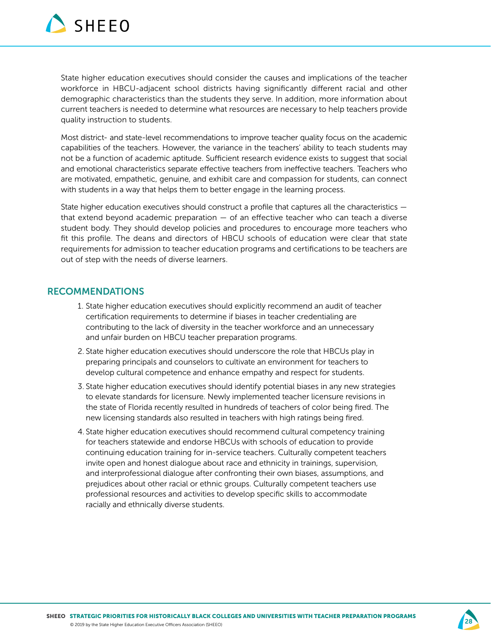<span id="page-27-0"></span>State higher education executives should consider the causes and implications of the teacher workforce in HBCU-adjacent school districts having significantly different racial and other demographic characteristics than the students they serve. In addition, more information about current teachers is needed to determine what resources are necessary to help teachers provide quality instruction to students.

Most district- and state-level recommendations to improve teacher quality focus on the academic capabilities of the teachers. However, the variance in the teachers' ability to teach students may not be a function of academic aptitude. Sufficient research evidence exists to suggest that social and emotional characteristics separate effective teachers from ineffective teachers. Teachers who are motivated, empathetic, genuine, and exhibit care and compassion for students, can connect with students in a way that helps them to better engage in the learning process.

State higher education executives should construct a profile that captures all the characteristics that extend beyond academic preparation  $-$  of an effective teacher who can teach a diverse student body. They should develop policies and procedures to encourage more teachers who fit this profile. The deans and directors of HBCU schools of education were clear that state requirements for admission to teacher education programs and certifications to be teachers are out of step with the needs of diverse learners.

#### RECOMMENDATIONS

- 1. State higher education executives should explicitly recommend an audit of teacher certification requirements to determine if biases in teacher credentialing are contributing to the lack of diversity in the teacher workforce and an unnecessary and unfair burden on HBCU teacher preparation programs.
- 2. State higher education executives should underscore the role that HBCUs play in preparing principals and counselors to cultivate an environment for teachers to develop cultural competence and enhance empathy and respect for students.
- 3. State higher education executives should identify potential biases in any new strategies to elevate standards for licensure. Newly implemented teacher licensure revisions in the state of Florida recently resulted in hundreds of teachers of color being fired. The new licensing standards also resulted in teachers with high ratings being fired.
- 4. State higher education executives should recommend cultural competency training for teachers statewide and endorse HBCUs with schools of education to provide continuing education training for in-service teachers. Culturally competent teachers invite open and honest dialogue about race and ethnicity in trainings, supervision, and interprofessional dialogue after confronting their own biases, assumptions, and prejudices about other racial or ethnic groups. Culturally competent teachers use professional resources and activities to develop specific skills to accommodate racially and ethnically diverse students.

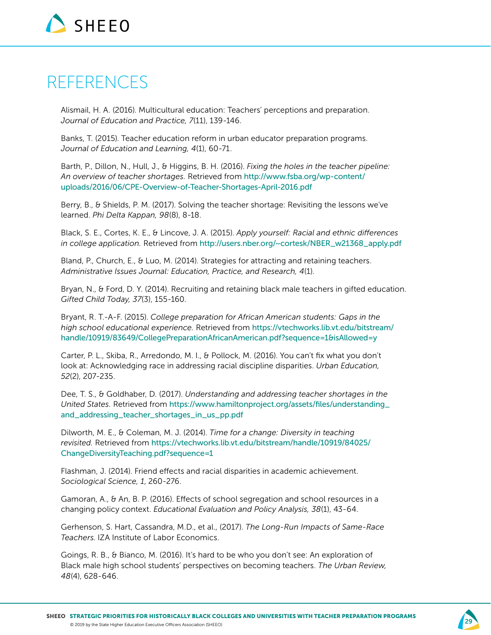<span id="page-28-0"></span>

## REFERENCES

Alismail, H. A. (2016). Multicultural education: Teachers' perceptions and preparation. *Journal of Education and Practice, 7*(11), 139-146.

Banks, T. (2015). Teacher education reform in urban educator preparation programs. *Journal of Education and Learning, 4*(1), 60-71.

Barth, P., Dillon, N., Hull, J., & Higgins, B. H. (2016). *Fixing the holes in the teacher pipeline: An overview of teacher shortages.* Retrieved from [http://www.fsba.org/wp-content/](http://www.fsba.org/wp-content/uploads/2016/06/CPE-Overview-of-Teacher-Shortages-April-2016.pdf) [uploads/2016/06/CPE-Overview-of-Teacher-Shortages-April-2016.pdf](http://www.fsba.org/wp-content/uploads/2016/06/CPE-Overview-of-Teacher-Shortages-April-2016.pdf)

Berry, B., & Shields, P. M. (2017). Solving the teacher shortage: Revisiting the lessons we've learned. *Phi Delta Kappan, 98*(8), 8-18.

Black, S. E., Cortes, K. E., & Lincove, J. A. (2015). *Apply yourself: Racial and ethnic differences in college application.* Retrieved from [http://users.nber.org/~cortesk/NBER\\_w21368\\_apply.pdf](http://users.nber.org/~cortesk/NBER_w21368_apply.pdf)

Bland, P., Church, E., & Luo, M. (2014). Strategies for attracting and retaining teachers. *Administrative Issues Journal: Education, Practice, and Research, 4*(1).

Bryan, N., & Ford, D. Y. (2014). Recruiting and retaining black male teachers in gifted education. *Gifted Child Today, 37*(3), 155-160.

Bryant, R. T.-A-F. (2015). *College preparation for African American students: Gaps in the high school educational experience.* Retrieved from [https://vtechworks.lib.vt.edu/bitstream/](https://vtechworks.lib.vt.edu/bitstream/handle/10919/83649/CollegePreparationAfricanAmerican.pdf?seq) [handle/10919/83649/CollegePreparationAfricanAmerican.pdf?sequence=1&isAllowed=y](https://vtechworks.lib.vt.edu/bitstream/handle/10919/83649/CollegePreparationAfricanAmerican.pdf?seq)

Carter, P. L., Skiba, R., Arredondo, M. I., & Pollock, M. (2016). You can't fix what you don't look at: Acknowledging race in addressing racial discipline disparities. *Urban Education, 52*(2), 207-235.

Dee, T. S., & Goldhaber, D. (2017). *Understanding and addressing teacher shortages in the United States.* Retrieved from [https://www.hamiltonproject.org/assets/files/understanding\\_](https://www.hamiltonproject.org/assets/files/understanding_and_addressing_teacher_shortages_in_us_pp.pdf) [and\\_addressing\\_teacher\\_shortages\\_in\\_us\\_pp.pdf](https://www.hamiltonproject.org/assets/files/understanding_and_addressing_teacher_shortages_in_us_pp.pdf)

Dilworth, M. E., & Coleman, M. J. (2014). *Time for a change: Diversity in teaching revisited.* Retrieved from [https://vtechworks.lib.vt.edu/bitstream/handle/10919/84025/](https://vtechworks.lib.vt.edu/bitstream/handle/10919/84025/ChangeDiversityTeaching.pdf?sequence=1) [ChangeDiversityTeaching.pdf?sequence=1](https://vtechworks.lib.vt.edu/bitstream/handle/10919/84025/ChangeDiversityTeaching.pdf?sequence=1)

Flashman, J. (2014). Friend effects and racial disparities in academic achievement. *Sociological Science, 1*, 260-276.

Gamoran, A., & An, B. P. (2016). Effects of school segregation and school resources in a changing policy context. *Educational Evaluation and Policy Analysis, 38*(1), 43-64.

Gerhenson, S. Hart, Cassandra, M.D., et al., (2017). *The Long-Run Impacts of Same-Race Teachers*. IZA Institute of Labor Economics.

Goings, R. B., & Bianco, M. (2016). It's hard to be who you don't see: An exploration of Black male high school students' perspectives on becoming teachers. *The Urban Review, 48*(4), 628-646.

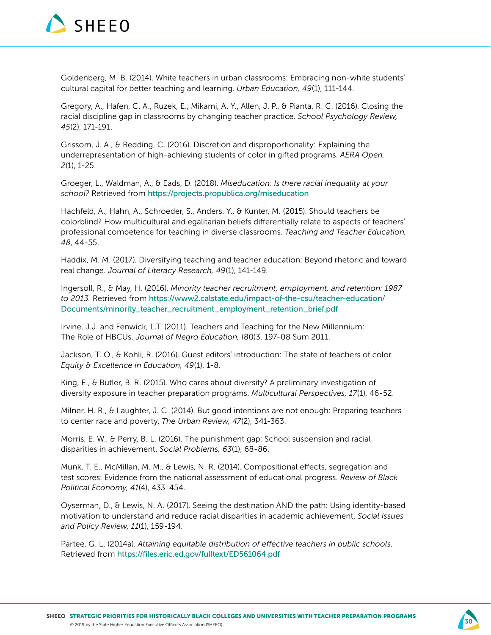

Goldenberg, M. B. (2014). White teachers in urban classrooms: Embracing non-white students' cultural capital for better teaching and learning. *Urban Education, 49*(1), 111-144.

Gregory, A., Hafen, C. A., Ruzek, E., Mikami, A. Y., Allen, J. P., & Pianta, R. C. (2016). Closing the racial discipline gap in classrooms by changing teacher practice. *School Psychology Review, 45*(2), 171-191.

Grissom, J. A., & Redding, C. (2016). Discretion and disproportionality: Explaining the underrepresentation of high-achieving students of color in gifted programs. *AERA Open, 2*(1), 1-25.

Groeger, L., Waldman, A., & Eads, D. (2018). *Miseducation: Is there racial inequality at your school?* Retrieved from <https://projects.propublica.org/miseducation>

Hachfeld, A., Hahn, A., Schroeder, S., Anders, Y., & Kunter, M. (2015). Should teachers be colorblind? How multicultural and egalitarian beliefs differentially relate to aspects of teachers' professional competence for teaching in diverse classrooms. *Teaching and Teacher Education, 48*, 44-55.

Haddix, M. M. (2017). Diversifying teaching and teacher education: Beyond rhetoric and toward real change. *Journal of Literacy Research, 49*(1), 141-149.

Ingersoll, R., & May, H. (2016). *Minority teacher recruitment, employment, and retention: 1987 to 2013.* Retrieved from [https://www2.calstate.edu/impact-of-the-csu/teacher-education/](https://www2.calstate.edu/impact-of-the-csu/teacher-education/Documents/minority_teacher_recruitment_employment_retention_brief.pdf) [Documents/minority\\_teacher\\_recruitment\\_employment\\_retention\\_brief.pdf](https://www2.calstate.edu/impact-of-the-csu/teacher-education/Documents/minority_teacher_recruitment_employment_retention_brief.pdf)

Irvine, J.J. and Fenwick, L.T. (2011). Teachers and Teaching for the New Millennium: The Role of HBCUs. *Journal of Negro Education,* (80)3, 197-08 Sum 2011.

Jackson, T. O., & Kohli, R. (2016). Guest editors' introduction: The state of teachers of color. *Equity & Excellence in Education, 49*(1), 1-8.

King, E., & Butler, B. R. (2015). Who cares about diversity? A preliminary investigation of diversity exposure in teacher preparation programs. *Multicultural Perspectives, 17*(1), 46-52.

Milner, H. R., & Laughter, J. C. (2014). But good intentions are not enough: Preparing teachers to center race and poverty. *The Urban Review, 47*(2), 341-363.

Morris, E. W., & Perry, B. L. (2016). The punishment gap: School suspension and racial disparities in achievement. *Social Problems, 63*(1), 68-86.

Munk, T. E., McMillan, M. M., & Lewis, N. R. (2014). Compositional effects, segregation and test scores: Evidence from the national assessment of educational progress. *Review of Black Political Economy, 41*(4), 433-454.

Oyserman, D., & Lewis, N. A. (2017). Seeing the destination AND the path: Using identity-based motivation to understand and reduce racial disparities in academic achievement. *Social Issues and Policy Review, 11*(1), 159-194.

Partee, G. L. (2014a). *Attaining equitable distribution of effective teachers in public schools.* Retrieved from <https://files.eric.ed.gov/fulltext/ED561064.pdf>

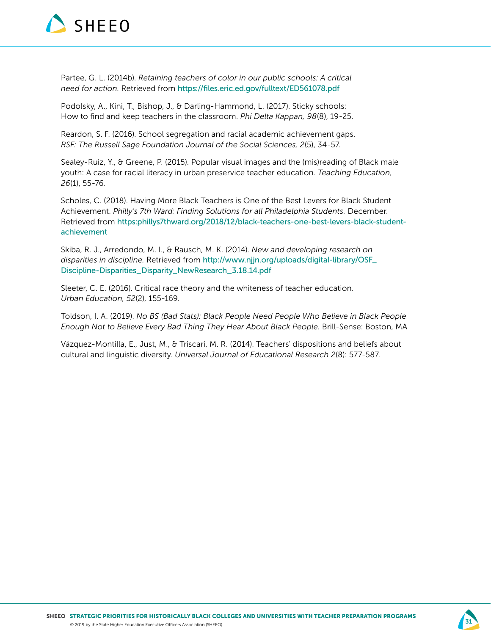

Partee, G. L. (2014b). *Retaining teachers of color in our public schools: A critical need for action.* Retrieved from <https://files.eric.ed.gov/fulltext/ED561078.pdf>

Podolsky, A., Kini, T., Bishop, J., & Darling-Hammond, L. (2017). Sticky schools: How to find and keep teachers in the classroom. *Phi Delta Kappan, 98*(8), 19-25.

Reardon, S. F. (2016). School segregation and racial academic achievement gaps. *RSF: The Russell Sage Foundation Journal of the Social Sciences, 2*(5), 34-57.

Sealey-Ruiz, Y., & Greene, P. (2015). Popular visual images and the (mis)reading of Black male youth: A case for racial literacy in urban preservice teacher education. *Teaching Education, 26*(1), 55-76.

Scholes, C. (2018). Having More Black Teachers is One of the Best Levers for Black Student Achievement. *Philly's 7th Ward: Finding Solutions for all Philadelphia Students.* December. Retrieved from [https:phillys7thward.org/2018/12/black-teachers-one-best-levers-black-student](https:phillys7thward.org/2018/12/black-teachers-one-best-levers-black-student-achievement)[achievement](https:phillys7thward.org/2018/12/black-teachers-one-best-levers-black-student-achievement)

Skiba, R. J., Arredondo, M. I., & Rausch, M. K. (2014). *New and developing research on disparities in discipline.* Retrieved from [http://www.njjn.org/uploads/digital-library/OSF\\_](http://www.njjn.org/uploads/digital-library/OSF_Discipline-Disparities_Disparity_NewResearch_3.18.14) [Discipline-Disparities\\_Disparity\\_NewResearch\\_3.18.14.pdf](http://www.njjn.org/uploads/digital-library/OSF_Discipline-Disparities_Disparity_NewResearch_3.18.14)

Sleeter, C. E. (2016). Critical race theory and the whiteness of teacher education. *Urban Education, 52*(2), 155-169.

Toldson, I. A. (2019). *No BS (Bad Stats): Black People Need People Who Believe in Black People Enough Not to Believe Every Bad Thing They Hear About Black People.* Brill-Sense: Boston, MA

Vázquez-Montilla, E., Just, M., & Triscari, M. R. (2014). Teachers' dispositions and beliefs about cultural and linguistic diversity. *Universal Journal of Educational Research 2*(8): 577-587.

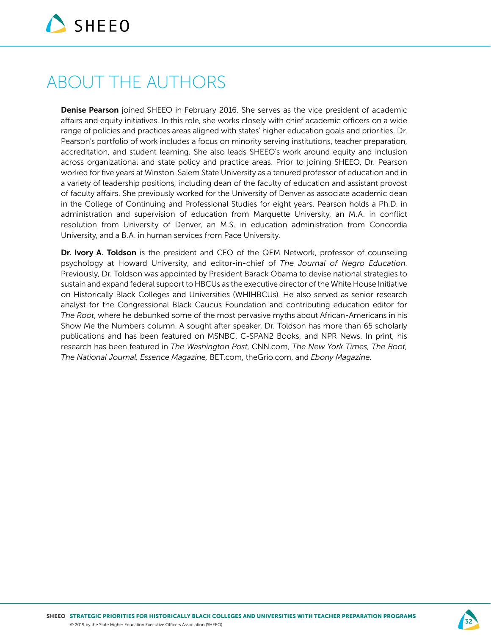## <span id="page-31-0"></span>ABOUT THE AUTHORS

Denise Pearson joined SHEEO in February 2016. She serves as the vice president of academic affairs and equity initiatives. In this role, she works closely with chief academic officers on a wide range of policies and practices areas aligned with states' higher education goals and priorities. Dr. Pearson's portfolio of work includes a focus on minority serving institutions, teacher preparation, accreditation, and student learning. She also leads SHEEO's work around equity and inclusion across organizational and state policy and practice areas. Prior to joining SHEEO, Dr. Pearson worked for five years at Winston-Salem State University as a tenured professor of education and in a variety of leadership positions, including dean of the faculty of education and assistant provost of faculty affairs. She previously worked for the University of Denver as associate academic dean in the College of Continuing and Professional Studies for eight years. Pearson holds a Ph.D. in administration and supervision of education from Marquette University, an M.A. in conflict resolution from University of Denver, an M.S. in education administration from Concordia University, and a B.A. in human services from Pace University.

Dr. Ivory A. Toldson is the president and CEO of the QEM Network, professor of counseling psychology at Howard University, and editor-in-chief of *The Journal of Negro Education*. Previously, Dr. Toldson was appointed by President Barack Obama to devise national strategies to sustain and expand federal support to HBCUs as the executive director of the White House Initiative on Historically Black Colleges and Universities (WHIHBCUs). He also served as senior research analyst for the Congressional Black Caucus Foundation and contributing education editor for *The Root*, where he debunked some of the most pervasive myths about African-Americans in his Show Me the Numbers column. A sought after speaker, Dr. Toldson has more than 65 scholarly publications and has been featured on MSNBC, C-SPAN2 Books, and NPR News. In print, his research has been featured in *The Washington Post*, CNN.com, *The New York Times, The Root, The National Journal, Essence Magazine,* BET.com, theGrio.com, and *Ebony Magazine*.

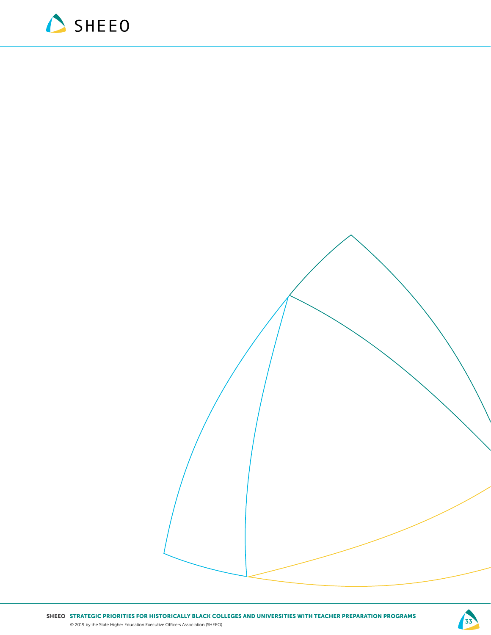